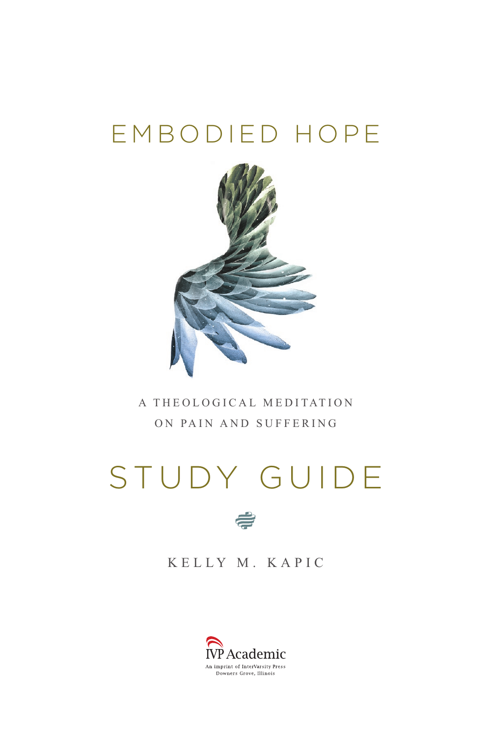## EMBODIED HOPE



A THEOLOGICAL MEDITATION ON PAIN AND SUFFERING

# STUDY GUIDE



KELLY M. KAPIC

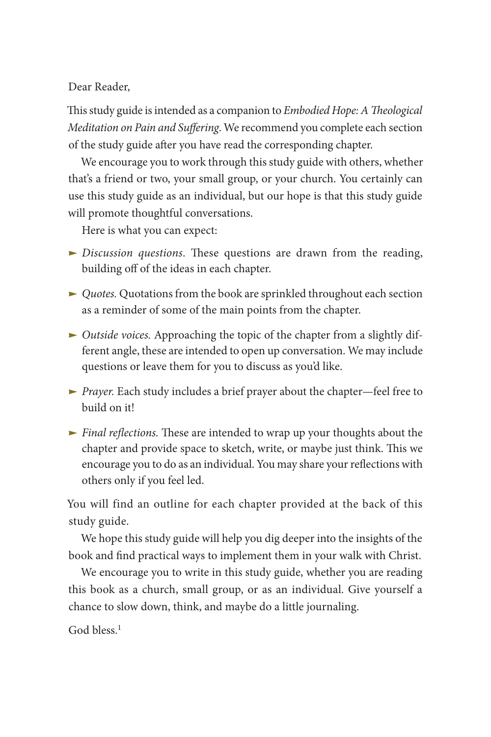### Dear Reader,

This study guide is intended as a companion to *Embodied Hope: A Theological Meditation on Pain and Suffering*. We recommend you complete each section of the study guide after you have read the corresponding chapter.

We encourage you to work through this study guide with others, whether that's a friend or two, your small group, or your church. You certainly can use this study guide as an individual, but our hope is that this study guide will promote thoughtful conversations.

Here is what you can expect:

- **E** *Discussion questions*. These questions are drawn from the reading, building off of the ideas in each chapter.
- ► *Quotes*. Quotations from the book are sprinkled throughout each section as a reminder of some of the main points from the chapter.
- *Outside voices.* Approaching the topic of the chapter from a slightly different angle, these are intended to open up conversation. We may include questions or leave them for you to discuss as you'd like.
- **•** *Prayer*. Each study includes a brief prayer about the chapter—feel free to build on it!
- **Final reflections.** These are intended to wrap up your thoughts about the chapter and provide space to sketch, write, or maybe just think. This we encourage you to do as an individual. You may share your reflections with others only if you feel led.

You will find an outline for each chapter provided at the back of this study guide.

We hope this study guide will help you dig deeper into the insights of the book and find practical ways to implement them in your walk with Christ.

We encourage you to write in this study guide, whether you are reading this book as a church, small group, or as an individual. Give yourself a chance to slow down, think, and maybe do a little journaling.

<span id="page-1-0"></span>God bless.<sup>[1](#page-58-0)</sup>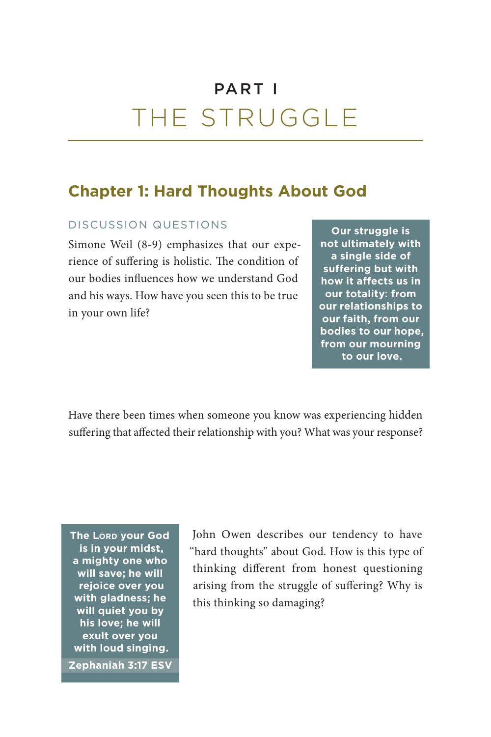## PART I THE STRUGGLE

## **Chapter 1: Hard Thoughts About God**

### DISCUSSION QUESTIONS

Simone Weil (8-9) emphasizes that our experience of suffering is holistic. The condition of our bodies influences how we understand God and his ways. How have you seen this to be true in your own life?

**Our struggle is not ultimately with a single side of suffering but with how it affects us in our totality: from our relationships to our faith, from our bodies to our hope, from our mourning to our love.**

Have there been times when someone you know was experiencing hidden suffering that affected their relationship with you? What was your response?

**The Lord your God is in your midst, a mighty one who will save; he will rejoice over you with gladness; he will quiet you by his love; he will exult over you with loud singing.**

**[Zephaniah 3:17](https://www.biblegateway.com/passage/?search=Zephaniah+3%3A17&version=ESV) ESV**

John Owen describes our tendency to have "hard thoughts" about God. How is this type of thinking different from honest questioning arising from the struggle of suffering? Why is this thinking so damaging?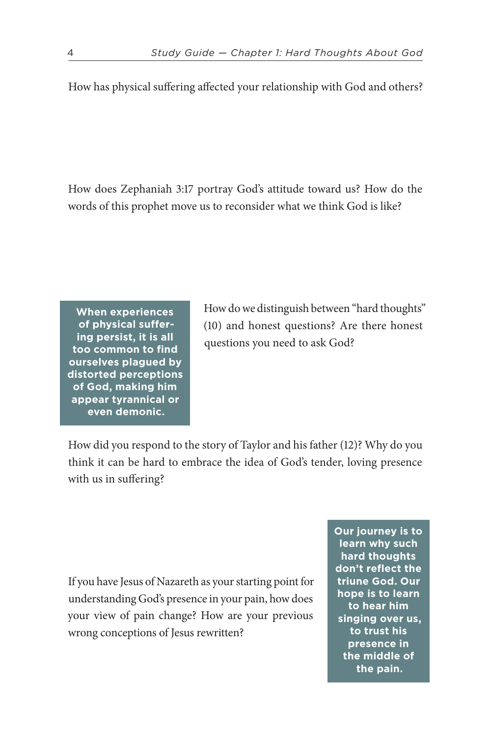How has physical suffering affected your relationship with God and others?

How does [Zephaniah 3:17](https://www.biblegateway.com/passage/?search=Zephaniah+3%3A17&version=ESV) portray God's attitude toward us? How do the words of this prophet move us to reconsider what we think God is like?

**When experiences of physical suffering persist, it is all too common to find ourselves plagued by distorted perceptions of God, making him appear tyrannical or even demonic.**

How do we distinguish between "hard thoughts" (10) and honest questions? Are there honest questions you need to ask God?

How did you respond to the story of Taylor and his father (12)? Why do you think it can be hard to embrace the idea of God's tender, loving presence with us in suffering?

If you have Jesus of Nazareth as your starting point for understanding God's presence in your pain, how does your view of pain change? How are your previous wrong conceptions of Jesus rewritten?

**Our journey is to learn why such hard thoughts don't reflect the triune God. Our hope is to learn to hear him singing over us, to trust his presence in the middle of the pain.**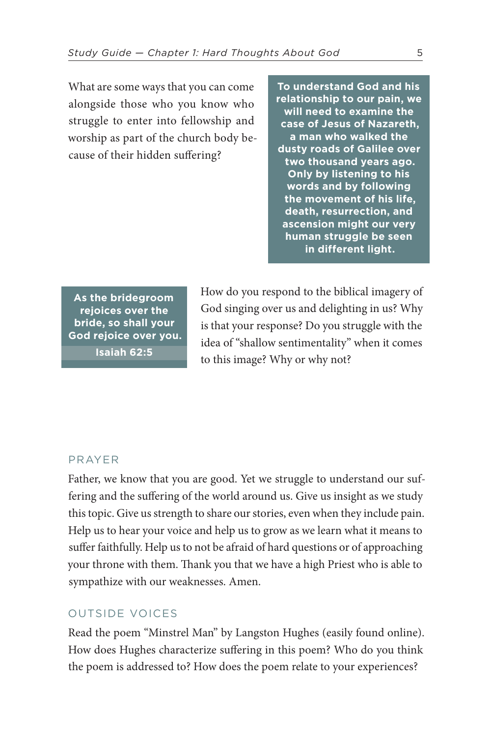What are some ways that you can come alongside those who you know who struggle to enter into fellowship and worship as part of the church body because of their hidden suffering?

**To understand God and his relationship to our pain, we will need to examine the case of Jesus of Nazareth, a man who walked the dusty roads of Galilee over two thousand years ago. Only by listening to his words and by following the movement of his life, death, resurrection, and ascension might our very human struggle be seen in different light.**

**As the bridegroom rejoices over the bride, so shall your God rejoice over you. [Isaiah 62:5](https://www.biblegateway.com/passage/?search=Isaiah+62%3A5&version=ESV)**

How do you respond to the biblical imagery of God singing over us and delighting in us? Why is that your response? Do you struggle with the idea of "shallow sentimentality" when it comes to this image? Why or why not?

### PRAYER

Father, we know that you are good. Yet we struggle to understand our suffering and the suffering of the world around us. Give us insight as we study this topic. Give us strength to share our stories, even when they include pain. Help us to hear your voice and help us to grow as we learn what it means to suffer faithfully. Help us to not be afraid of hard questions or of approaching your throne with them. Thank you that we have a high Priest who is able to sympathize with our weaknesses. Amen.

### OUTSIDE VOICES

Read the poem "Minstrel Man" by Langston Hughes (easily found online). How does Hughes characterize suffering in this poem? Who do you think the poem is addressed to? How does the poem relate to your experiences?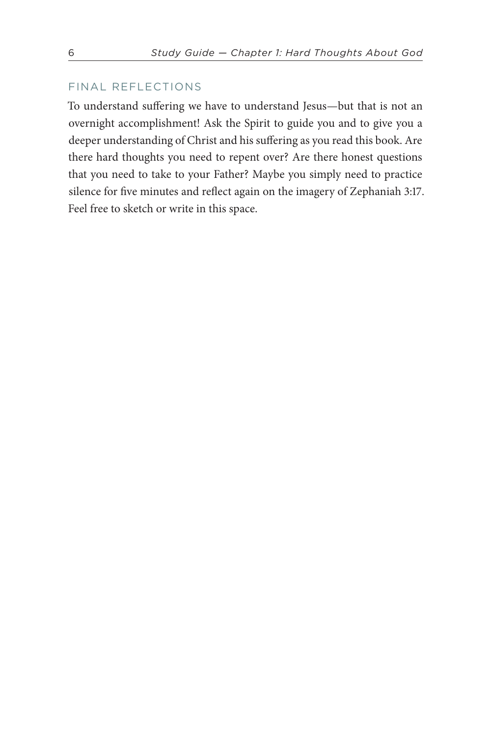### FINAL REFLECTIONS

To understand suffering we have to understand Jesus—but that is not an overnight accomplishment! Ask the Spirit to guide you and to give you a deeper understanding of Christ and his suffering as you read this book. Are there hard thoughts you need to repent over? Are there honest questions that you need to take to your Father? Maybe you simply need to practice silence for five minutes and reflect again on the imagery of [Zephaniah 3:17](https://www.biblegateway.com/passage/?search=Zephaniah+3%3A17&version=ESV). Feel free to sketch or write in this space.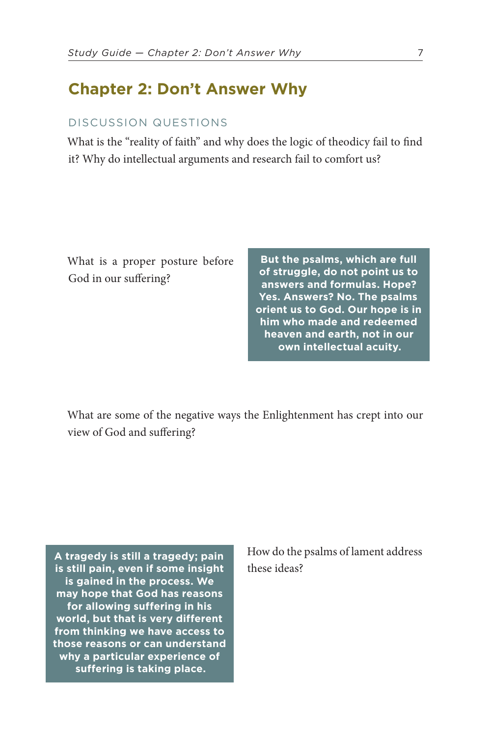### **Chapter 2: Don't Answer Why**

### DISCUSSION QUESTIONS

What is the "reality of faith" and why does the logic of theodicy fail to find it? Why do intellectual arguments and research fail to comfort us?

What is a proper posture before God in our suffering?

**But the psalms, which are full of struggle, do not point us to answers and formulas. Hope? Yes. Answers? No. The psalms orient us to God. Our hope is in him who made and redeemed heaven and earth, not in our own intellectual acuity.**

What are some of the negative ways the Enlightenment has crept into our view of God and suffering?

**A tragedy is still a tragedy; pain is still pain, even if some insight is gained in the process. We may hope that God has reasons for allowing suffering in his world, but that is very different from thinking we have access to those reasons or can understand why a particular experience of suffering is taking place.**

How do the psalms of lament address these ideas?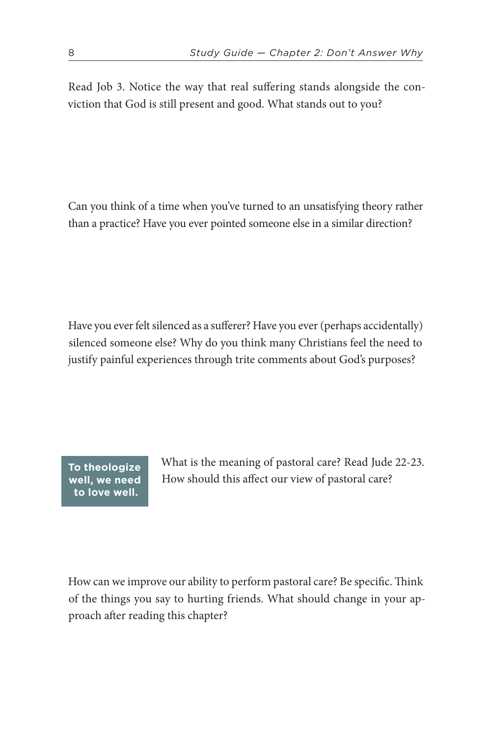Read [Job 3.](https://www.biblegateway.com/passage/?search=Job+3&version=ESV) Notice the way that real suffering stands alongside the conviction that God is still present and good. What stands out to you?

Can you think of a time when you've turned to an unsatisfying theory rather than a practice? Have you ever pointed someone else in a similar direction?

Have you ever felt silenced as a sufferer? Have you ever (perhaps accidentally) silenced someone else? Why do you think many Christians feel the need to justify painful experiences through trite comments about God's purposes?

**To theologize well, we need to love well.**

What is the meaning of pastoral care? Read [Jude 22-23](https://www.biblegateway.com/passage/?search=Jude+22-23&version=ESV). How should this affect our view of pastoral care?

How can we improve our ability to perform pastoral care? Be specific. Think of the things you say to hurting friends. What should change in your approach after reading this chapter?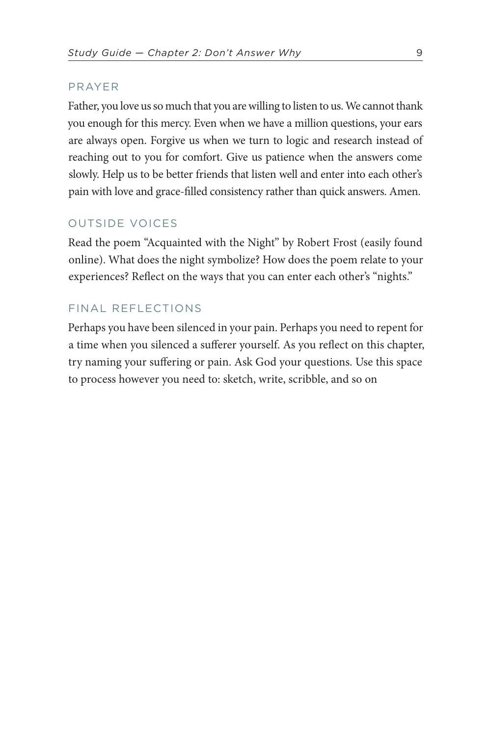### PRAYER

Father, you love us so much that you are willing to listen to us. We cannot thank you enough for this mercy. Even when we have a million questions, your ears are always open. Forgive us when we turn to logic and research instead of reaching out to you for comfort. Give us patience when the answers come slowly. Help us to be better friends that listen well and enter into each other's pain with love and grace-filled consistency rather than quick answers. Amen.

### OUTSIDE VOICES

Read the poem "Acquainted with the Night" by Robert Frost (easily found online). What does the night symbolize? How does the poem relate to your experiences? Reflect on the ways that you can enter each other's "nights."

### FINAL REFLECTIONS

Perhaps you have been silenced in your pain. Perhaps you need to repent for a time when you silenced a sufferer yourself. As you reflect on this chapter, try naming your suffering or pain. Ask God your questions. Use this space to process however you need to: sketch, write, scribble, and so on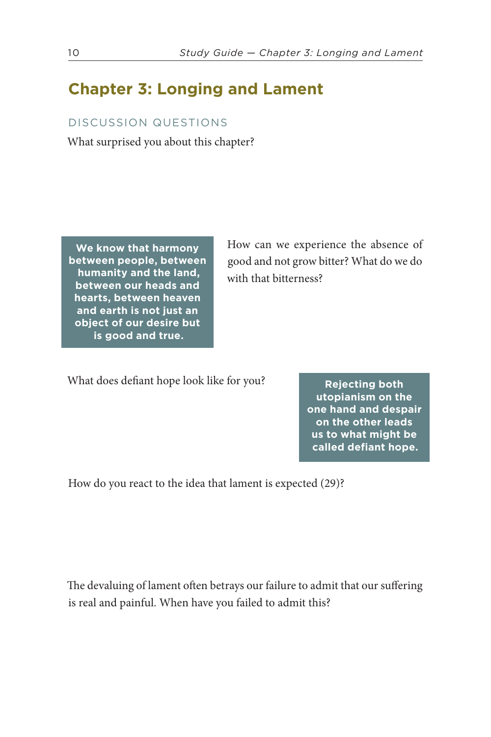## **Chapter 3: Longing and Lament**

### DISCUSSION QUESTIONS

What surprised you about this chapter?

**We know that harmony between people, between humanity and the land, between our heads and hearts, between heaven and earth is not just an object of our desire but is good and true.**

How can we experience the absence of good and not grow bitter? What do we do with that bitterness?

What does defiant hope look like for you?

**Rejecting both utopianism on the one hand and despair on the other leads us to what might be called defiant hope.**

How do you react to the idea that lament is expected (29)?

The devaluing of lament often betrays our failure to admit that our suffering is real and painful. When have you failed to admit this?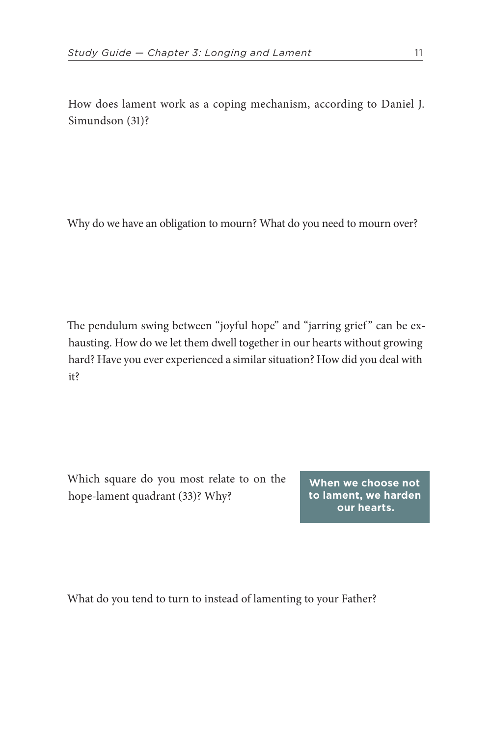How does lament work as a coping mechanism, according to Daniel J. Simundson (31)?

Why do we have an obligation to mourn? What do you need to mourn over?

The pendulum swing between "joyful hope" and "jarring grief" can be exhausting. How do we let them dwell together in our hearts without growing hard? Have you ever experienced a similar situation? How did you deal with it?

Which square do you most relate to on the hope-lament quadrant (33)? Why?

**When we choose not to lament, we harden our hearts.**

What do you tend to turn to instead of lamenting to your Father?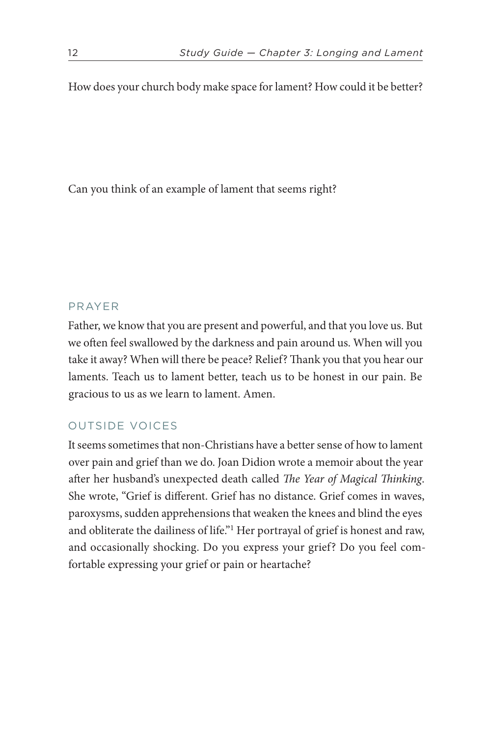How does your church body make space for lament? How could it be better?

Can you think of an example of lament that seems right?

### PRAYER

Father, we know that you are present and powerful, and that you love us. But we often feel swallowed by the darkness and pain around us. When will you take it away? When will there be peace? Relief? Thank you that you hear our laments. Teach us to lament better, teach us to be honest in our pain. Be gracious to us as we learn to lament. Amen.

### OUTSIDE VOICES

<span id="page-11-0"></span>It seems sometimes that non-Christians have a better sense of how to lament over pain and grief than we do. Joan Didion wrote a memoir about the year after her husband's unexpected death called *The Year of Magical Thinking*. She wrote, "Grief is different. Grief has no distance. Grief comes in waves, paroxysms, sudden apprehensions that weaken the knees and blind the eyes and obliterate the dailiness of life."[1](#page-58-1) Her portrayal of grief is honest and raw, and occasionally shocking. Do you express your grief? Do you feel comfortable expressing your grief or pain or heartache?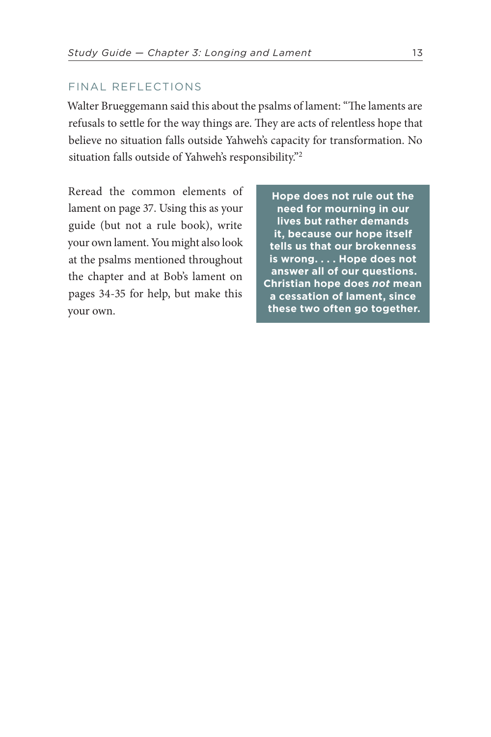### FINAL REFLECTIONS

Walter Brueggemann said this about the psalms of lament: "The laments are refusals to settle for the way things are. They are acts of relentless hope that believe no situation falls outside Yahweh's capacity for transformation. No situation falls outside of Yahweh's responsibility."[2](#page-58-2)

<span id="page-12-0"></span>Reread the common elements of lament on page 37. Using this as your guide (but not a rule book), write your own lament. You might also look at the psalms mentioned throughout the chapter and at Bob's lament on pages 34-35 for help, but make this your own.

**Hope does not rule out the need for mourning in our lives but rather demands it, because our hope itself tells us that our brokenness is wrong. . . . Hope does not answer all of our questions. Christian hope does** *not* **mean a cessation of lament, since these two often go together.**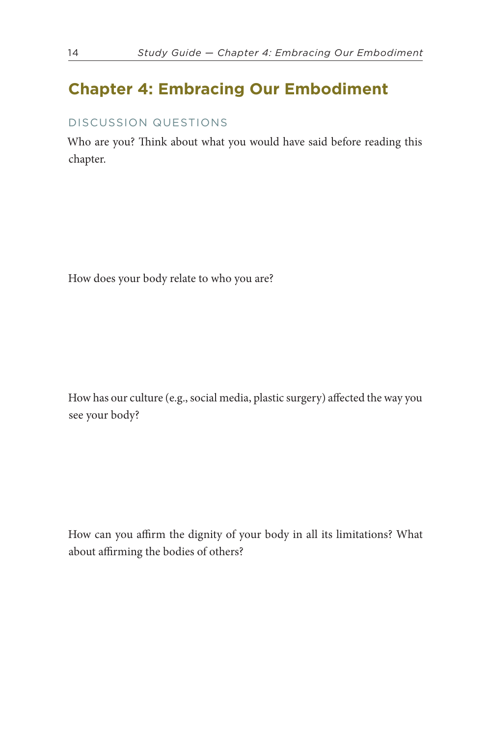## **Chapter 4: Embracing Our Embodiment**

### DISCUSSION QUESTIONS

Who are you? Think about what you would have said before reading this chapter.

How does your body relate to who you are?

How has our culture (e.g., social media, plastic surgery) affected the way you see your body?

How can you affirm the dignity of your body in all its limitations? What about affirming the bodies of others?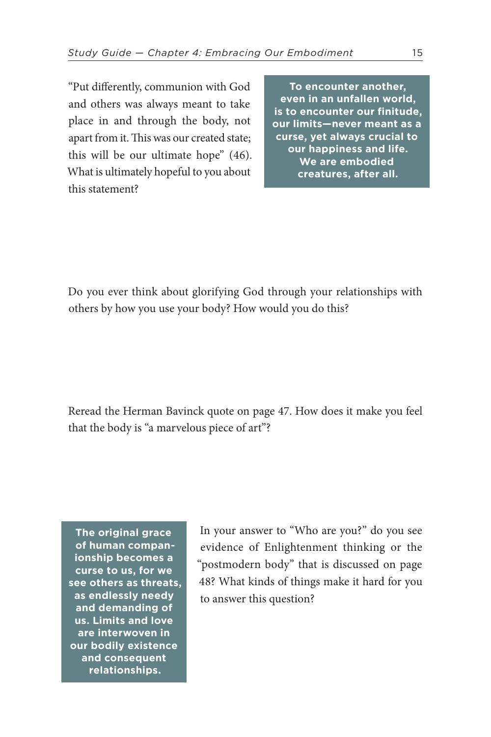"Put differently, communion with God and others was always meant to take place in and through the body, not apart from it. This was our created state; this will be our ultimate hope" (46). What is ultimately hopeful to you about this statement?

**To encounter another, even in an unfallen world, is to encounter our finitude, our limits—never meant as a curse, yet always crucial to our happiness and life. We are embodied creatures, after all.**

Do you ever think about glorifying God through your relationships with others by how you use your body? How would you do this?

Reread the Herman Bavinck quote on page 47. How does it make you feel that the body is "a marvelous piece of art"?

**The original grace of human companionship becomes a curse to us, for we see others as threats, as endlessly needy and demanding of us. Limits and love are interwoven in our bodily existence and consequent relationships.**

In your answer to "Who are you?" do you see evidence of Enlightenment thinking or the "postmodern body" that is discussed on page 48? What kinds of things make it hard for you to answer this question?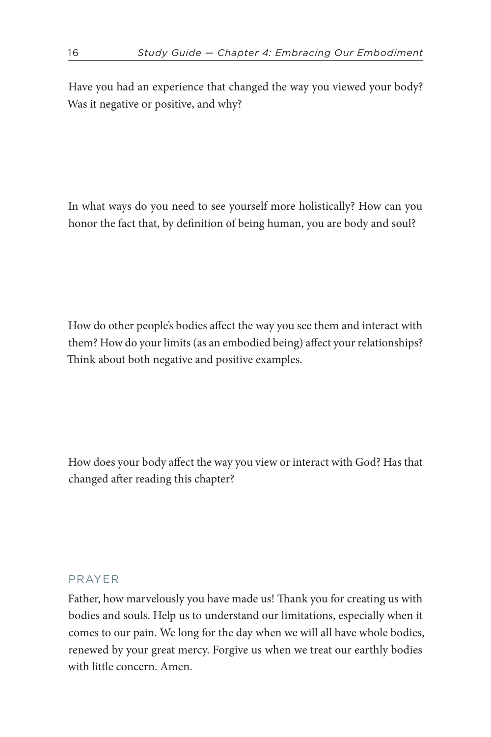Have you had an experience that changed the way you viewed your body? Was it negative or positive, and why?

In what ways do you need to see yourself more holistically? How can you honor the fact that, by definition of being human, you are body and soul?

How do other people's bodies affect the way you see them and interact with them? How do your limits (as an embodied being) affect your relationships? Think about both negative and positive examples.

How does your body affect the way you view or interact with God? Has that changed after reading this chapter?

### PRAYER

Father, how marvelously you have made us! Thank you for creating us with bodies and souls. Help us to understand our limitations, especially when it comes to our pain. We long for the day when we will all have whole bodies, renewed by your great mercy. Forgive us when we treat our earthly bodies with little concern. Amen.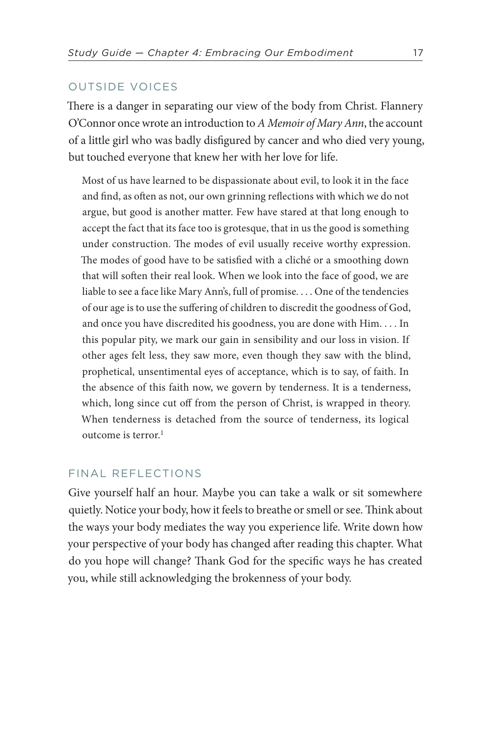### OUTSIDE VOICES

There is a danger in separating our view of the body from Christ. Flannery O'Connor once wrote an introduction to *A Memoir of Mary Ann*, the account of a little girl who was badly disfigured by cancer and who died very young, but touched everyone that knew her with her love for life.

Most of us have learned to be dispassionate about evil, to look it in the face and find, as often as not, our own grinning reflections with which we do not argue, but good is another matter. Few have stared at that long enough to accept the fact that its face too is grotesque, that in us the good is something under construction. The modes of evil usually receive worthy expression. The modes of good have to be satisfied with a cliché or a smoothing down that will soften their real look. When we look into the face of good, we are liable to see a face like Mary Ann's, full of promise. . . . One of the tendencies of our age is to use the suffering of children to discredit the goodness of God, and once you have discredited his goodness, you are done with Him. . . . In this popular pity, we mark our gain in sensibility and our loss in vision. If other ages felt less, they saw more, even though they saw with the blind, prophetical, unsentimental eyes of acceptance, which is to say, of faith. In the absence of this faith now, we govern by tenderness. It is a tenderness, which, long since cut off from the person of Christ, is wrapped in theory. When tenderness is detached from the source of tenderness, its logical outcome is terror.<sup>[1](#page-58-3)</sup>

### <span id="page-16-0"></span>FINAL REFLECTIONS

Give yourself half an hour. Maybe you can take a walk or sit somewhere quietly. Notice your body, how it feels to breathe or smell or see. Think about the ways your body mediates the way you experience life. Write down how your perspective of your body has changed after reading this chapter. What do you hope will change? Thank God for the specific ways he has created you, while still acknowledging the brokenness of your body.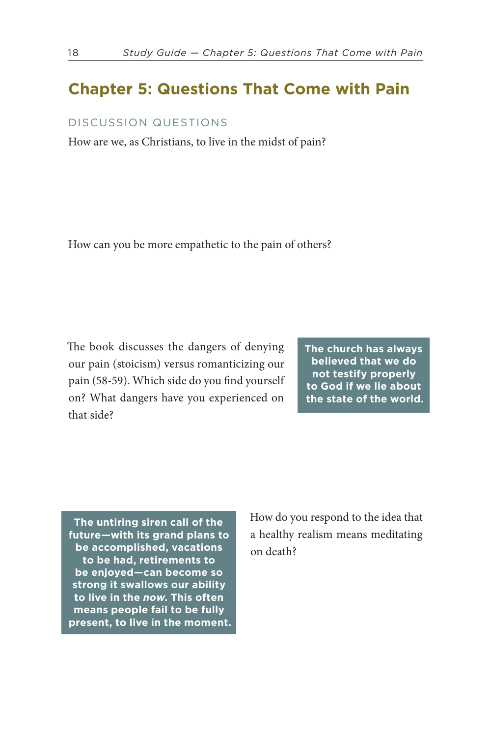### **Chapter 5: Questions That Come with Pain**

### DISCUSSION QUESTIONS

How are we, as Christians, to live in the midst of pain?

How can you be more empathetic to the pain of others?

The book discusses the dangers of denying our pain (stoicism) versus romanticizing our pain (58-59). Which side do you find yourself on? What dangers have you experienced on that side?

**The church has always believed that we do not testify properly to God if we lie about the state of the world.**

**The untiring siren call of the future—with its grand plans to be accomplished, vacations to be had, retirements to be enjoyed—can become so strong it swallows our ability to live in the** *now***. This often means people fail to be fully present, to live in the moment.** How do you respond to the idea that a healthy realism means meditating on death?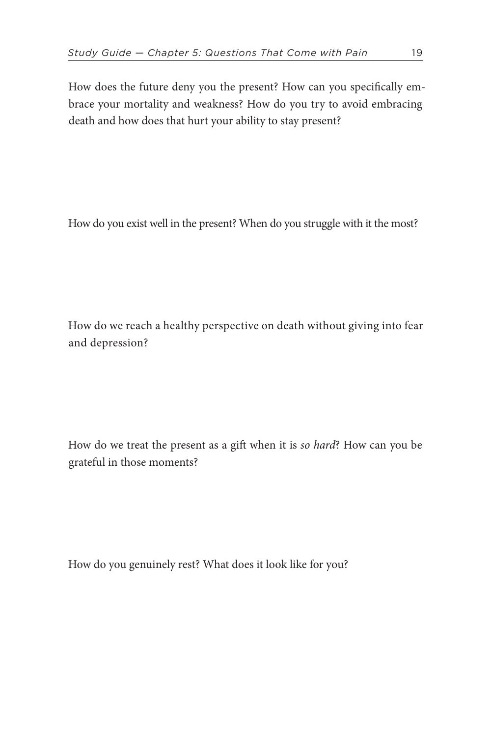How does the future deny you the present? How can you specifically embrace your mortality and weakness? How do you try to avoid embracing death and how does that hurt your ability to stay present?

How do you exist well in the present? When do you struggle with it the most?

How do we reach a healthy perspective on death without giving into fear and depression?

How do we treat the present as a gift when it is *so hard*? How can you be grateful in those moments?

How do you genuinely rest? What does it look like for you?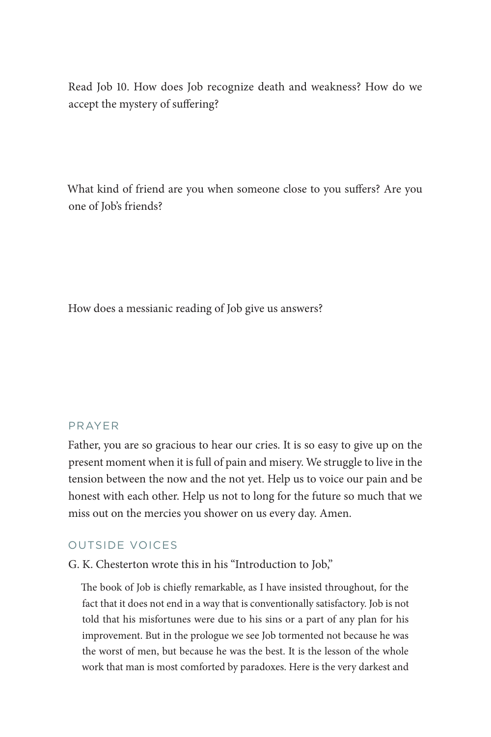Read [Job 10.](https://www.biblegateway.com/passage/?search=Job+10&version=ESV) How does Job recognize death and weakness? How do we accept the mystery of suffering?

What kind of friend are you when someone close to you suffers? Are you one of Job's friends?

How does a messianic reading of Job give us answers?

### PRAYER

Father, you are so gracious to hear our cries. It is so easy to give up on the present moment when it is full of pain and misery. We struggle to live in the tension between the now and the not yet. Help us to voice our pain and be honest with each other. Help us not to long for the future so much that we miss out on the mercies you shower on us every day. Amen.

### OUTSIDE VOICES

G. K. Chesterton wrote this in his "Introduction to Job,"

The book of Job is chiefly remarkable, as I have insisted throughout, for the fact that it does not end in a way that is conventionally satisfactory. Job is not told that his misfortunes were due to his sins or a part of any plan for his improvement. But in the prologue we see Job tormented not because he was the worst of men, but because he was the best. It is the lesson of the whole work that man is most comforted by paradoxes. Here is the very darkest and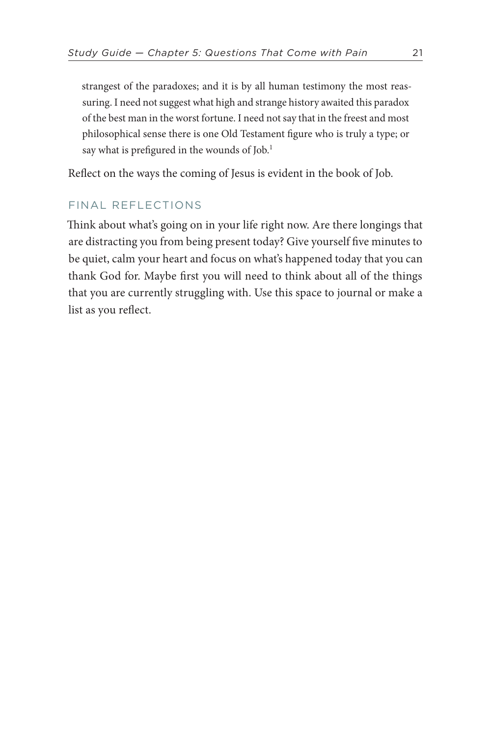strangest of the paradoxes; and it is by all human testimony the most reassuring. I need not suggest what high and strange history awaited this paradox of the best man in the worst fortune. I need not say that in the freest and most philosophical sense there is one Old Testament figure who is truly a type; or say what is prefigured in the wounds of Job.<sup>1</sup>

<span id="page-20-0"></span>Reflect on the ways the coming of Jesus is evident in the book of Job.

### FINAL REFLECTIONS

Think about what's going on in your life right now. Are there longings that are distracting you from being present today? Give yourself five minutes to be quiet, calm your heart and focus on what's happened today that you can thank God for. Maybe first you will need to think about all of the things that you are currently struggling with. Use this space to journal or make a list as you reflect.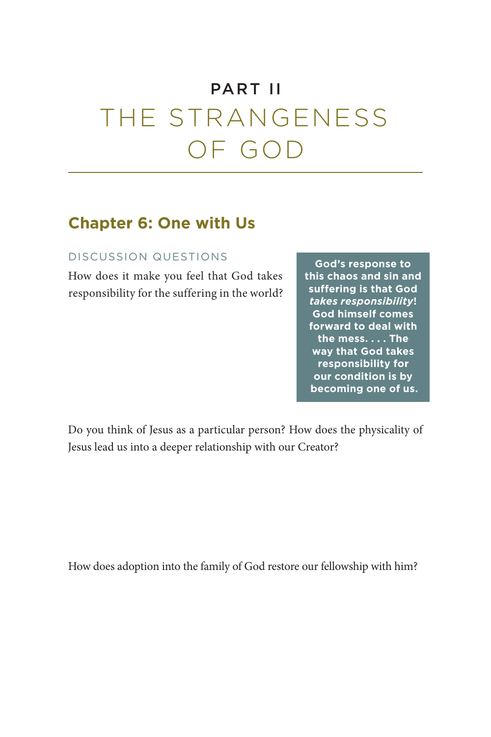## PART II

# THE STRANGENESS OF GOD

### **Chapter 6: One with Us**

### DISCUSSION QUESTIONS

How does it make you feel that God takes responsibility for the suffering in the world?

**God's response to this chaos and sin and suffering is that God**  *takes responsibility***! God himself comes forward to deal with the mess. . . . The way that God takes responsibility for our condition is by becoming one of us.**

Do you think of Jesus as a particular person? How does the physicality of Jesus lead us into a deeper relationship with our Creator?

How does adoption into the family of God restore our fellowship with him?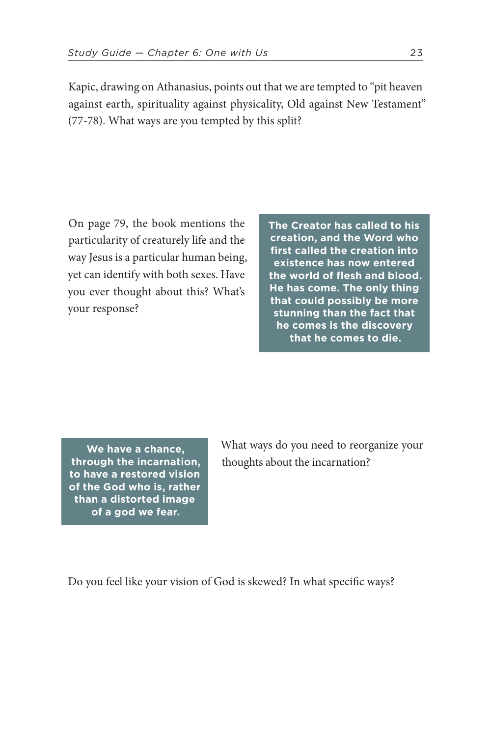Kapic, drawing on Athanasius, points out that we are tempted to "pit heaven against earth, spirituality against physicality, Old against New Testament" (77-78). What ways are you tempted by this split?

On page 79, the book mentions the particularity of creaturely life and the way Jesus is a particular human being, yet can identify with both sexes. Have you ever thought about this? What's your response?

**The Creator has called to his creation, and the Word who first called the creation into existence has now entered the world of flesh and blood. He has come. The only thing that could possibly be more stunning than the fact that he comes is the discovery that he comes to die.** 

**We have a chance, through the incarnation, to have a restored vision of the God who is, rather than a distorted image of a god we fear.**

What ways do you need to reorganize your thoughts about the incarnation?

Do you feel like your vision of God is skewed? In what specific ways?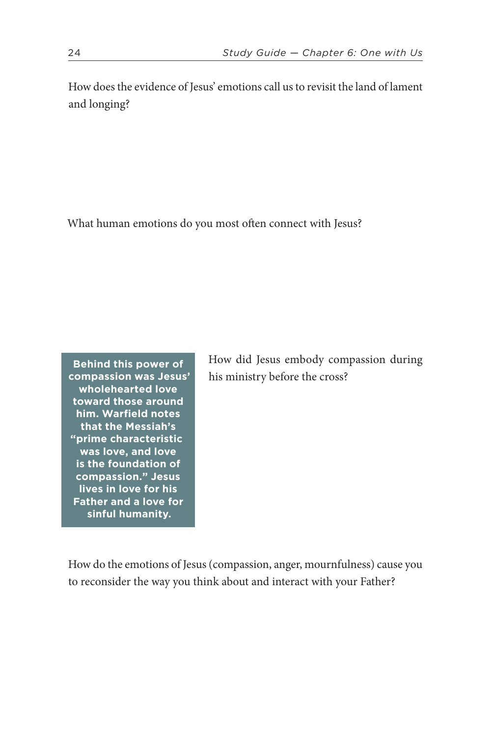How does the evidence of Jesus' emotions call us to revisit the land of lament and longing?

What human emotions do you most often connect with Jesus?

**Behind this power of compassion was Jesus' wholehearted love toward those around him. Warfield notes that the Messiah's "prime characteristic was love, and love is the foundation of compassion." Jesus lives in love for his Father and a love for sinful humanity.**

How did Jesus embody compassion during his ministry before the cross?

How do the emotions of Jesus (compassion, anger, mournfulness) cause you to reconsider the way you think about and interact with your Father?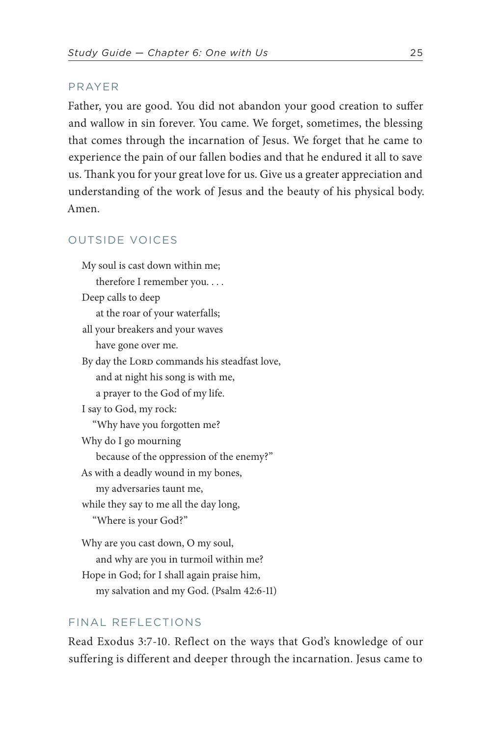### PRAYER

Father, you are good. You did not abandon your good creation to suffer and wallow in sin forever. You came. We forget, sometimes, the blessing that comes through the incarnation of Jesus. We forget that he came to experience the pain of our fallen bodies and that he endured it all to save us. Thank you for your great love for us. Give us a greater appreciation and understanding of the work of Jesus and the beauty of his physical body. Amen.

### OUTSIDE VOICES

My soul is cast down within me; therefore I remember you. . . . Deep calls to deep at the roar of your waterfalls; all your breakers and your waves have gone over me. By day the LORD commands his steadfast love, and at night his song is with me, a prayer to the God of my life. I say to God, my rock: "Why have you forgotten me? Why do I go mourning because of the oppression of the enemy?" As with a deadly wound in my bones, my adversaries taunt me, while they say to me all the day long, "Where is your God?" Why are you cast down, O my soul, and why are you in turmoil within me? Hope in God; for I shall again praise him,

my salvation and my God. [\(Psalm 42:6-11](https://www.biblegateway.com/passage/?search=Psalm+42%3A6-11&version=ESV))

### FINAL REFLECTIONS

Read [Exodus 3:7-10](https://www.biblegateway.com/passage/?search=Exodus+3%3A7-10&version=ESV). Reflect on the ways that God's knowledge of our suffering is different and deeper through the incarnation. Jesus came to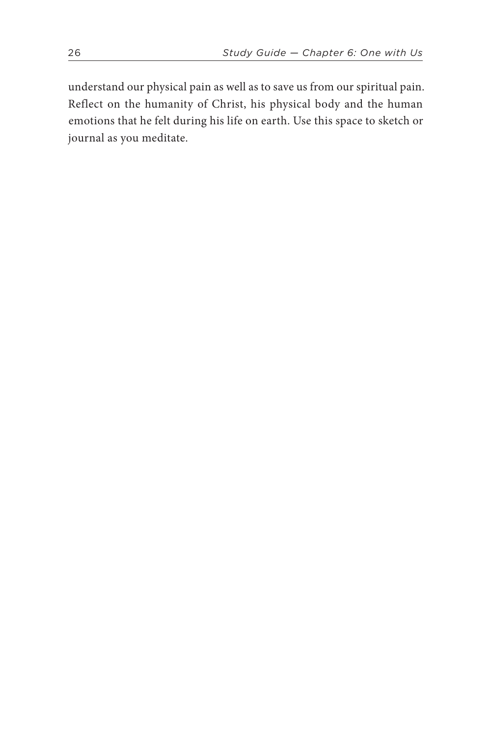understand our physical pain as well as to save us from our spiritual pain. Reflect on the humanity of Christ, his physical body and the human emotions that he felt during his life on earth. Use this space to sketch or journal as you meditate.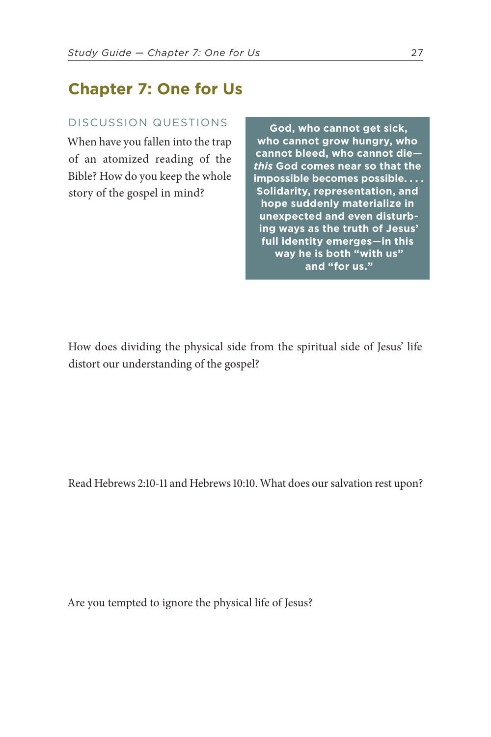## **Chapter 7: One for Us**

### DISCUSSION QUESTIONS

When have you fallen into the trap of an atomized reading of the Bible? How do you keep the whole story of the gospel in mind?

**God, who cannot get sick, who cannot grow hungry, who cannot bleed, who cannot die** *this* **God comes near so that the impossible becomes possible. . . . Solidarity, representation, and hope suddenly materialize in unexpected and even disturbing ways as the truth of Jesus' full identity emerges—in this way he is both "with us" and "for us."**

How does dividing the physical side from the spiritual side of Jesus' life distort our understanding of the gospel?

Read [Hebrews 2:10-11 and Hebrews 10:10](https://www.biblegateway.com/passage/?search=Hebrews+2%3A10-11;+Hebrews+10%3A10&version=ESV). What does our salvation rest upon?

Are you tempted to ignore the physical life of Jesus?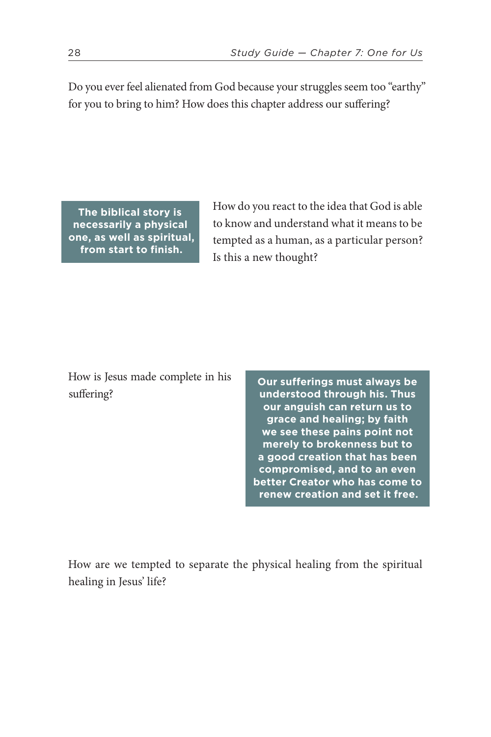Do you ever feel alienated from God because your struggles seem too "earthy" for you to bring to him? How does this chapter address our suffering?

**The biblical story is necessarily a physical one, as well as spiritual, from start to finish.** 

How do you react to the idea that God is able to know and understand what it means to be tempted as a human, as a particular person? Is this a new thought?

How is Jesus made complete in his suffering?

**Our sufferings must always be understood through his. Thus our anguish can return us to grace and healing; by faith we see these pains point not merely to brokenness but to a good creation that has been compromised, and to an even better Creator who has come to renew creation and set it free.** 

How are we tempted to separate the physical healing from the spiritual healing in Jesus' life?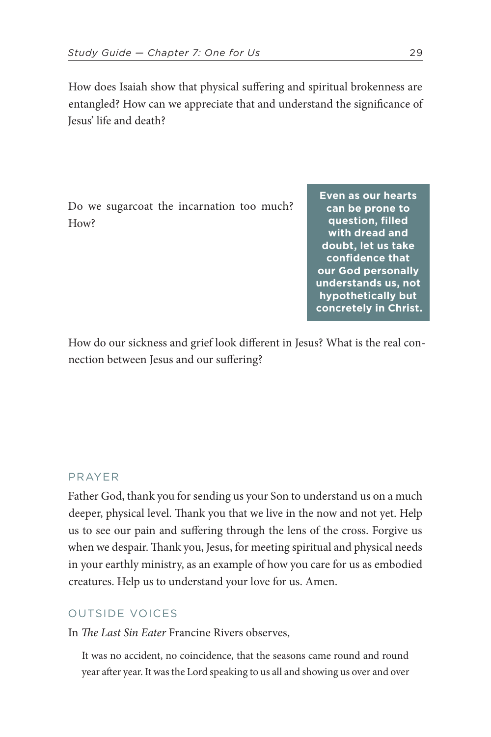How does Isaiah show that physical suffering and spiritual brokenness are entangled? How can we appreciate that and understand the significance of Jesus' life and death?

Do we sugarcoat the incarnation too much? How?

**Even as our hearts can be prone to question, filled with dread and doubt, let us take confidence that our God personally understands us, not hypothetically but concretely in Christ.** 

How do our sickness and grief look different in Jesus? What is the real connection between Jesus and our suffering?

### PRAYER

Father God, thank you for sending us your Son to understand us on a much deeper, physical level. Thank you that we live in the now and not yet. Help us to see our pain and suffering through the lens of the cross. Forgive us when we despair. Thank you, Jesus, for meeting spiritual and physical needs in your earthly ministry, as an example of how you care for us as embodied creatures. Help us to understand your love for us. Amen.

### OUTSIDE VOICES

In *The Last Sin Eater* Francine Rivers observes,

It was no accident, no coincidence, that the seasons came round and round year after year. It was the Lord speaking to us all and showing us over and over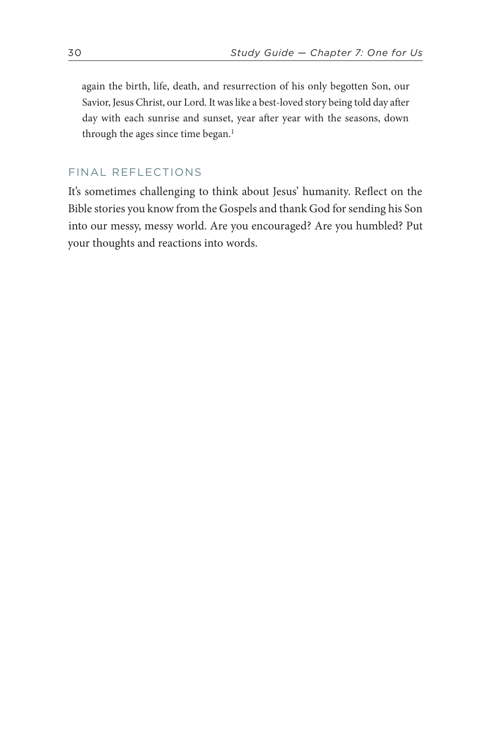<span id="page-29-0"></span>again the birth, life, death, and resurrection of his only begotten Son, our Savior, Jesus Christ, our Lord. It was like a best-loved story being told day after day with each sunrise and sunset, year after year with the seasons, down through the ages since time began.<sup>1</sup>

### FINAL REFLECTIONS

It's sometimes challenging to think about Jesus' humanity. Reflect on the Bible stories you know from the Gospels and thank God for sending his Son into our messy, messy world. Are you encouraged? Are you humbled? Put your thoughts and reactions into words.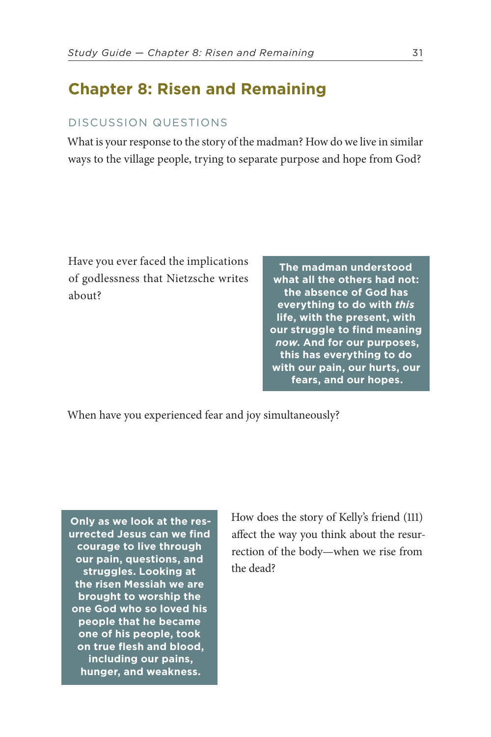## **Chapter 8: Risen and Remaining**

### DISCUSSION QUESTIONS

What is your response to the story of the madman? How do we live in similar ways to the village people, trying to separate purpose and hope from God?

Have you ever faced the implications of godlessness that Nietzsche writes about?

**The madman understood what all the others had not: the absence of God has everything to do with** *this* **life, with the present, with our struggle to find meaning**  *now***. And for our purposes, this has everything to do with our pain, our hurts, our fears, and our hopes.** 

When have you experienced fear and joy simultaneously?

**Only as we look at the resurrected Jesus can we find courage to live through our pain, questions, and struggles. Looking at the risen Messiah we are brought to worship the one God who so loved his people that he became one of his people, took on true flesh and blood, including our pains, hunger, and weakness.**

How does the story of Kelly's friend (111) affect the way you think about the resurrection of the body—when we rise from the dead?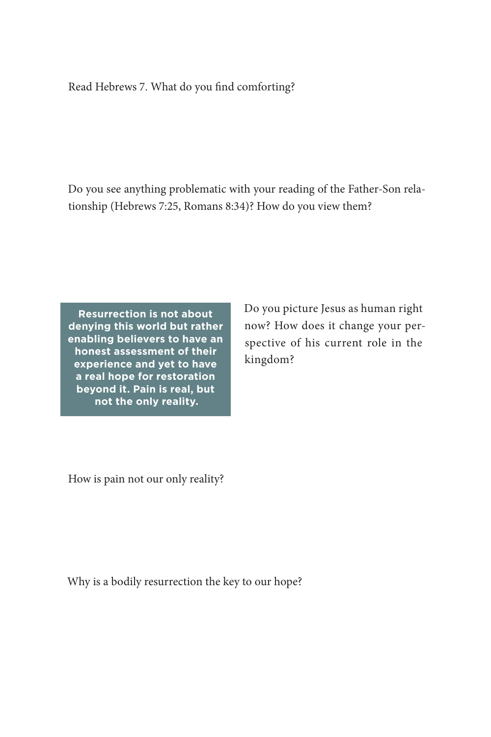### Read [Hebrews 7.](https://www.biblegateway.com/passage/?search=Hebrews+7&version=ESV) What do you find comforting?

Do you see anything problematic with your reading of the Father-Son relationship ([Hebrews 7:25, Romans 8:34\)](https://www.biblegateway.com/passage/?search=Hebrews+7%3A25,+Romans+8%3A34&version=ESV)? How do you view them?

**Resurrection is not about denying this world but rather enabling believers to have an honest assessment of their experience and yet to have a real hope for restoration beyond it. Pain is real, but not the only reality.** 

Do you picture Jesus as human right now? How does it change your perspective of his current role in the kingdom?

How is pain not our only reality?

Why is a bodily resurrection the key to our hope?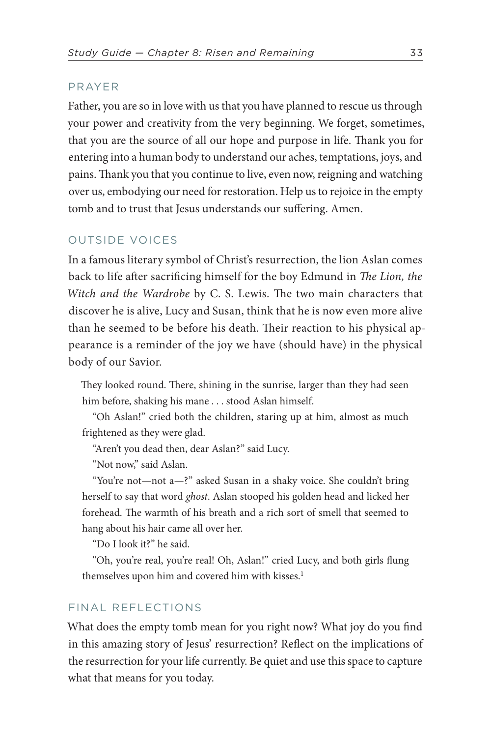### PRAYER

Father, you are so in love with us that you have planned to rescue us through your power and creativity from the very beginning. We forget, sometimes, that you are the source of all our hope and purpose in life. Thank you for entering into a human body to understand our aches, temptations, joys, and pains. Thank you that you continue to live, even now, reigning and watching over us, embodying our need for restoration. Help us to rejoice in the empty tomb and to trust that Jesus understands our suffering. Amen.

### OUTSIDE VOICES

In a famous literary symbol of Christ's resurrection, the lion Aslan comes back to life after sacrificing himself for the boy Edmund in *The Lion, the Witch and the Wardrobe* by C. S. Lewis. The two main characters that discover he is alive, Lucy and Susan, think that he is now even more alive than he seemed to be before his death. Their reaction to his physical appearance is a reminder of the joy we have (should have) in the physical body of our Savior.

They looked round. There, shining in the sunrise, larger than they had seen him before, shaking his mane . . . stood Aslan himself.

"Oh Aslan!" cried both the children, staring up at him, almost as much frightened as they were glad.

"Aren't you dead then, dear Aslan?" said Lucy.

"Not now," said Aslan.

"You're not—not a—?" asked Susan in a shaky voice. She couldn't bring herself to say that word *ghost*. Aslan stooped his golden head and licked her forehead. The warmth of his breath and a rich sort of smell that seemed to hang about his hair came all over her.

"Do I look it?" he said.

<span id="page-32-0"></span>"Oh, you're real, you're real! Oh, Aslan!" cried Lucy, and both girls flung themselves upon him and covered him with kisses.<sup>1</sup>

### FINAL REFLECTIONS

What does the empty tomb mean for you right now? What joy do you find in this amazing story of Jesus' resurrection? Reflect on the implications of the resurrection for your life currently. Be quiet and use this space to capture what that means for you today.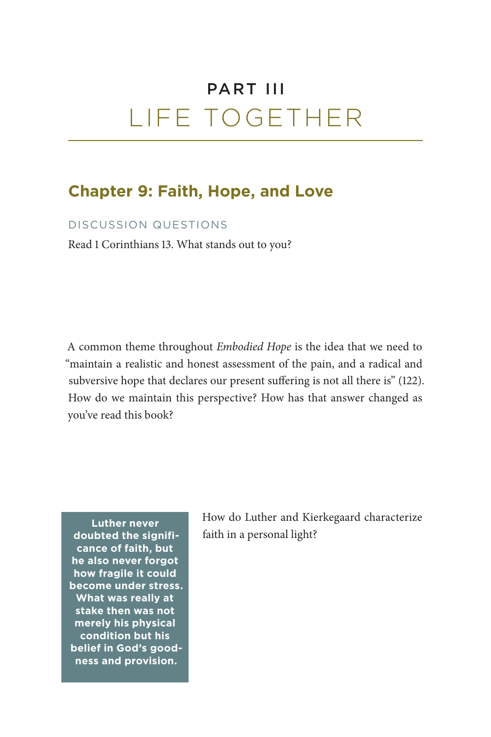## PART III LIFE TOGETHER

## **Chapter 9: Faith, Hope, and Love**

### DISCUSSION QUESTIONS

Read [1 Corinthians 13.](https://www.biblegateway.com/passage/?search=1+Corinthians+13&version=ESV) What stands out to you?

A common theme throughout *Embodied Hope* is the idea that we need to "maintain a realistic and honest assessment of the pain, and a radical and subversive hope that declares our present suffering is not all there is" (122). How do we maintain this perspective? How has that answer changed as you've read this book?

**Luther never doubted the significance of faith, but he also never forgot how fragile it could become under stress. What was really at stake then was not merely his physical condition but his belief in God's goodness and provision.**

How do Luther and Kierkegaard characterize faith in a personal light?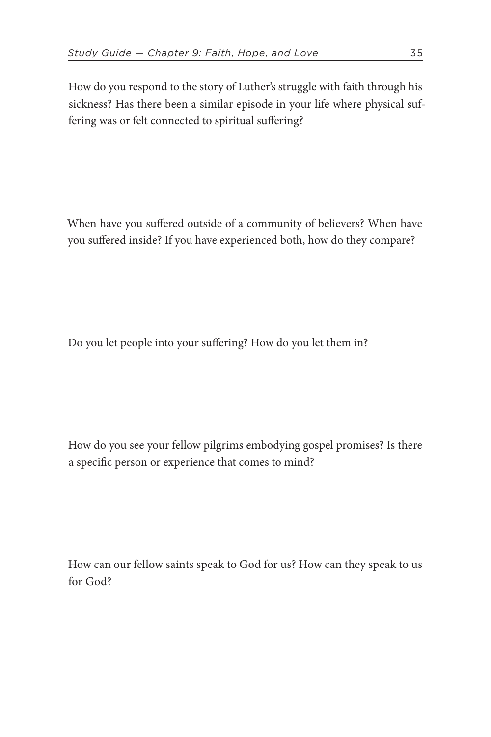How do you respond to the story of Luther's struggle with faith through his sickness? Has there been a similar episode in your life where physical suffering was or felt connected to spiritual suffering?

When have you suffered outside of a community of believers? When have you suffered inside? If you have experienced both, how do they compare?

Do you let people into your suffering? How do you let them in?

How do you see your fellow pilgrims embodying gospel promises? Is there a specific person or experience that comes to mind?

How can our fellow saints speak to God for us? How can they speak to us for God?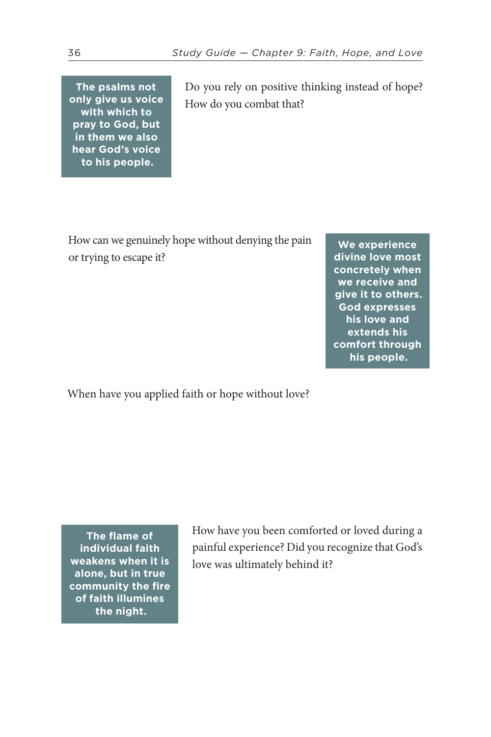**The psalms not only give us voice with which to pray to God, but in them we also hear God's voice to his people.**

Do you rely on positive thinking instead of hope? How do you combat that?

How can we genuinely hope without denying the pain or trying to escape it?

**We experience divine love most concretely when we receive and give it to others. God expresses his love and extends his comfort through his people.**

When have you applied faith or hope without love?

**The flame of individual faith weakens when it is alone, but in true community the fire of faith illumines the night.**

How have you been comforted or loved during a painful experience? Did you recognize that God's love was ultimately behind it?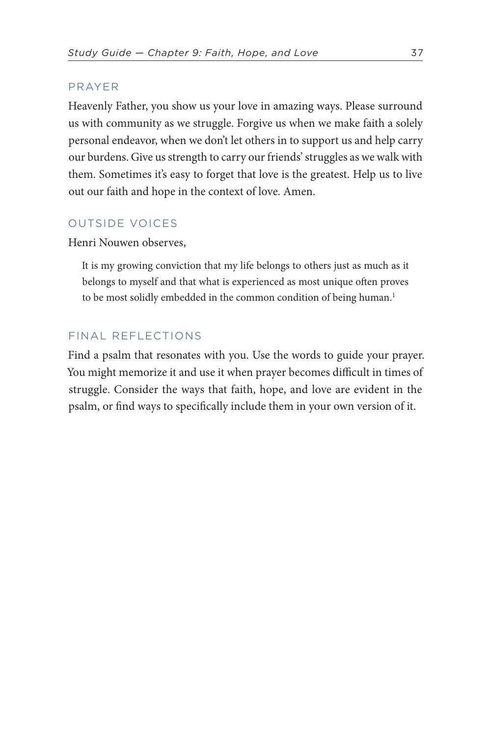### PRAYER

Heavenly Father, you show us your love in amazing ways. Please surround us with community as we struggle. Forgive us when we make faith a solely personal endeavor, when we don't let others in to support us and help carry our burdens. Give us strength to carry our friends' struggles as we walk with them. Sometimes it's easy to forget that love is the greatest. Help us to live out our faith and hope in the context of love. Amen.

### OUTSIDE VOICES

Henri Nouwen observes,

<span id="page-36-0"></span>It is my growing conviction that my life belongs to others just as much as it belongs to myself and that what is experienced as most unique often proves to be most solidly embedded in the common condition of being human.<sup>[1](#page-58-7)</sup>

### FINAL REFLECTIONS

Find a psalm that resonates with you. Use the words to guide your prayer. You might memorize it and use it when prayer becomes difficult in times of struggle. Consider the ways that faith, hope, and love are evident in the psalm, or find ways to specifically include them in your own version of it.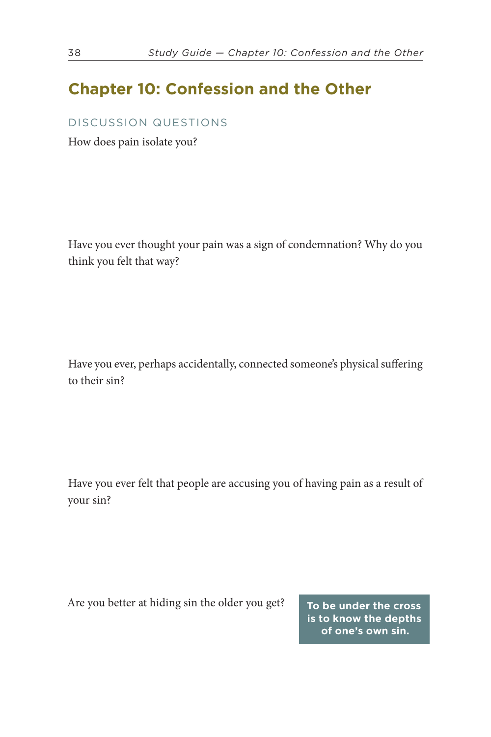## **Chapter 10: Confession and the Other**

### DISCUSSION QUESTIONS

How does pain isolate you?

Have you ever thought your pain was a sign of condemnation? Why do you think you felt that way?

Have you ever, perhaps accidentally, connected someone's physical suffering to their sin?

Have you ever felt that people are accusing you of having pain as a result of your sin?

Are you better at hiding sin the older you get? **To be under the cross** 

**is to know the depths of one's own sin.**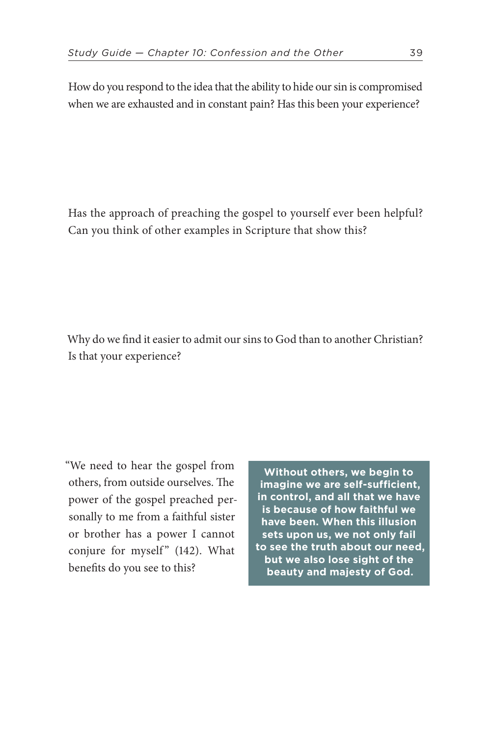How do you respond to the idea that the ability to hide our sin is compromised when we are exhausted and in constant pain? Has this been your experience?

Has the approach of preaching the gospel to yourself ever been helpful? Can you think of other examples in Scripture that show this?

Why do we find it easier to admit our sins to God than to another Christian? Is that your experience?

"We need to hear the gospel from others, from outside ourselves. The power of the gospel preached personally to me from a faithful sister or brother has a power I cannot conjure for myself" (142). What benefits do you see to this?

**Without others, we begin to imagine we are self-sufficient, in control, and all that we have is because of how faithful we have been. When this illusion sets upon us, we not only fail to see the truth about our need, but we also lose sight of the beauty and majesty of God.**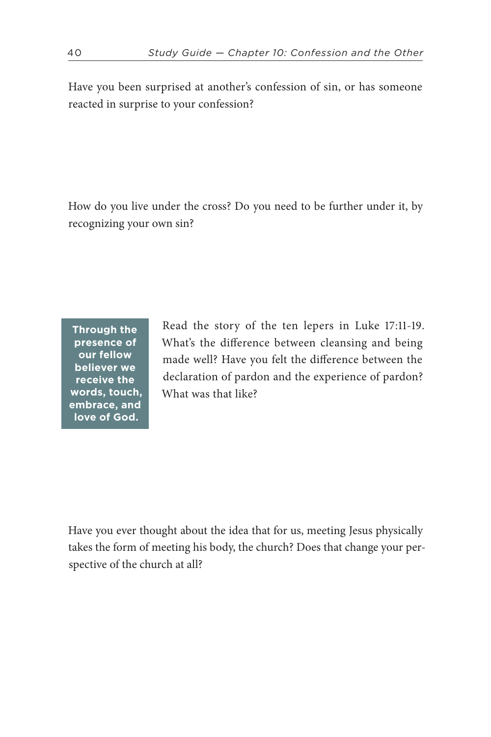Have you been surprised at another's confession of sin, or has someone reacted in surprise to your confession?

How do you live under the cross? Do you need to be further under it, by recognizing your own sin?

**Through the presence of our fellow believer we receive the words, touch, embrace, and love of God.**

Read the story of the ten lepers in [Luke 17:11-19](https://www.biblegateway.com/passage/?search=Luke+17%3A11-19&version=ESV). What's the difference between cleansing and being made well? Have you felt the difference between the declaration of pardon and the experience of pardon? What was that like?

Have you ever thought about the idea that for us, meeting Jesus physically takes the form of meeting his body, the church? Does that change your perspective of the church at all?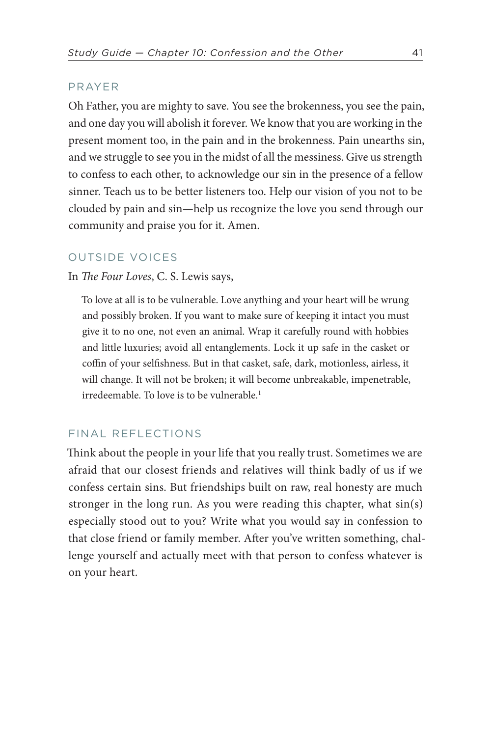### PRAYER

Oh Father, you are mighty to save. You see the brokenness, you see the pain, and one day you will abolish it forever. We know that you are working in the present moment too, in the pain and in the brokenness. Pain unearths sin, and we struggle to see you in the midst of all the messiness. Give us strength to confess to each other, to acknowledge our sin in the presence of a fellow sinner. Teach us to be better listeners too. Help our vision of you not to be clouded by pain and sin—help us recognize the love you send through our community and praise you for it. Amen.

#### OUTSIDE VOICES

#### In *The Four Loves*, C. S. Lewis says,

To love at all is to be vulnerable. Love anything and your heart will be wrung and possibly broken. If you want to make sure of keeping it intact you must give it to no one, not even an animal. Wrap it carefully round with hobbies and little luxuries; avoid all entanglements. Lock it up safe in the casket or coffin of your selfishness. But in that casket, safe, dark, motionless, airless, it will change. It will not be broken; it will become unbreakable, impenetrable, irredeemable. To love is to be vulnerable.<sup>[1](#page-58-8)</sup>

### <span id="page-40-0"></span>FINAL REFLECTIONS

Think about the people in your life that you really trust. Sometimes we are afraid that our closest friends and relatives will think badly of us if we confess certain sins. But friendships built on raw, real honesty are much stronger in the long run. As you were reading this chapter, what sin(s) especially stood out to you? Write what you would say in confession to that close friend or family member. After you've written something, challenge yourself and actually meet with that person to confess whatever is on your heart.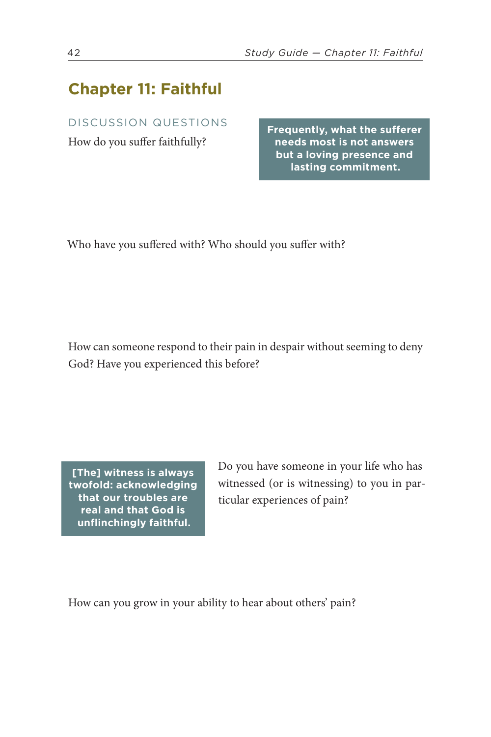## **Chapter 11: Faithful**

### DISCUSSION QUESTIONS

How do you suffer faithfully?

**Frequently, what the sufferer needs most is not answers but a loving presence and lasting commitment.**

Who have you suffered with? Who should you suffer with?

How can someone respond to their pain in despair without seeming to deny God? Have you experienced this before?

**[The] witness is always twofold: acknowledging that our troubles are real and that God is unflinchingly faithful.**

Do you have someone in your life who has witnessed (or is witnessing) to you in particular experiences of pain?

How can you grow in your ability to hear about others' pain?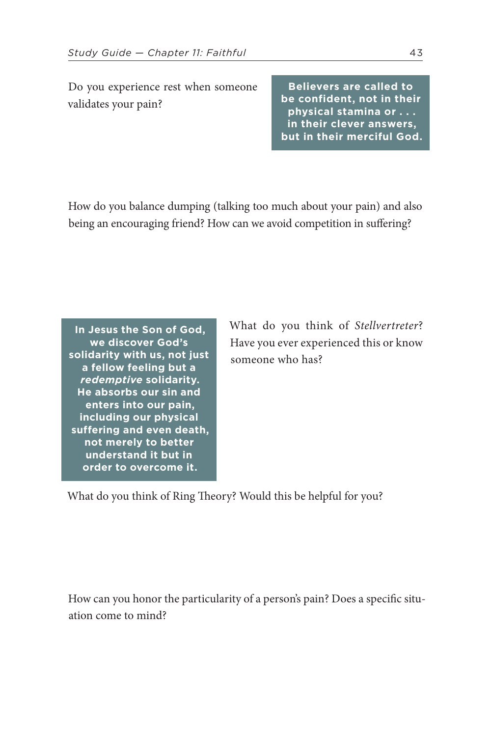Do you experience rest when someone validates your pain?

**Believers are called to be confident, not in their physical stamina or . . . in their clever answers, but in their merciful God.**

How do you balance dumping (talking too much about your pain) and also being an encouraging friend? How can we avoid competition in suffering?

**In Jesus the Son of God, we discover God's solidarity with us, not just a fellow feeling but a**  *redemptive* **solidarity. He absorbs our sin and enters into our pain, including our physical suffering and even death, not merely to better understand it but in order to overcome it.**

What do you think of *Stellvertreter*? Have you ever experienced this or know someone who has?

What do you think of Ring Theory? Would this be helpful for you?

How can you honor the particularity of a person's pain? Does a specific situation come to mind?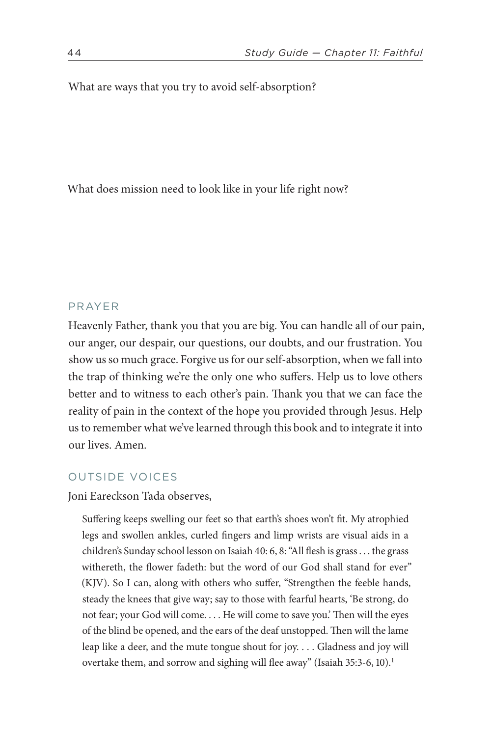What are ways that you try to avoid self-absorption?

What does mission need to look like in your life right now?

### PRAYER

Heavenly Father, thank you that you are big. You can handle all of our pain, our anger, our despair, our questions, our doubts, and our frustration. You show us so much grace. Forgive us for our self-absorption, when we fall into the trap of thinking we're the only one who suffers. Help us to love others better and to witness to each other's pain. Thank you that we can face the reality of pain in the context of the hope you provided through Jesus. Help us to remember what we've learned through this book and to integrate it into our lives. Amen.

### OUTSIDE VOICES

Joni Eareckson Tada observes,

<span id="page-43-0"></span>Suffering keeps swelling our feet so that earth's shoes won't fit. My atrophied legs and swollen ankles, curled fingers and limp wrists are visual aids in a children's Sunday school lesson on [Isaiah 40](https://www.biblegateway.com/passage/?search=Isaiah+40&version=ESV): 6, 8: "All flesh is grass . . . the grass withereth, the flower fadeth: but the word of our God shall stand for ever" (KJV). So I can, along with others who suffer, "Strengthen the feeble hands, steady the knees that give way; say to those with fearful hearts, 'Be strong, do not fear; your God will come. . . . He will come to save you.' Then will the eyes of the blind be opened, and the ears of the deaf unstopped. Then will the lame leap like a deer, and the mute tongue shout for joy. . . . Gladness and joy will overtake them, and sorrow and sighing will flee away" [\(Isaiah 35:3-6, 10\)](https://www.biblegateway.com/passage/?search=Isaiah+35%3A3-6,+10&version=ESV).<sup>1</sup>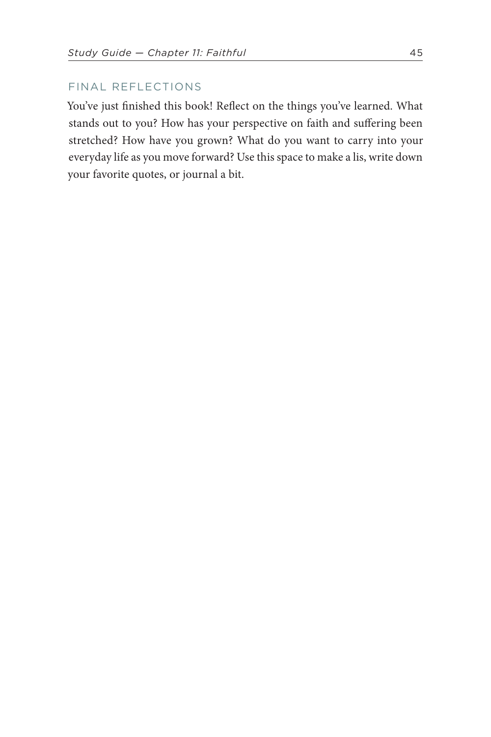### FINAL REFLECTIONS

You've just finished this book! Reflect on the things you've learned. What stands out to you? How has your perspective on faith and suffering been stretched? How have you grown? What do you want to carry into your everyday life as you move forward? Use this space to make a lis, write down your favorite quotes, or journal a bit.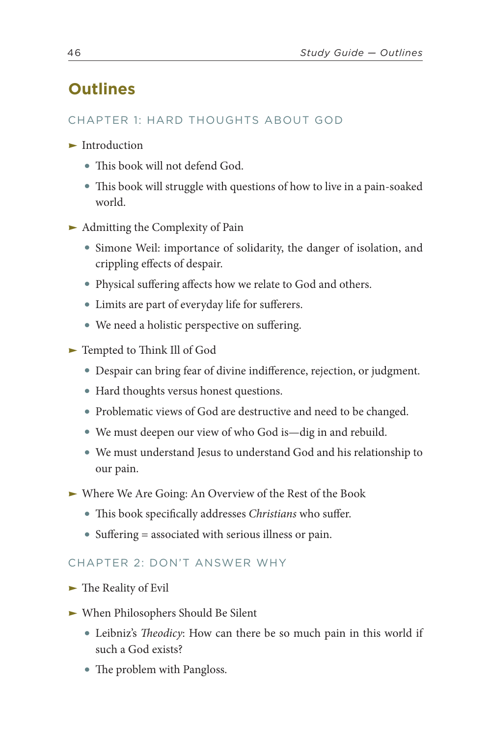## **Outlines**

### CHAPTER 1: HARD THOUGHTS ABOUT GOD

- $\blacktriangleright$  Introduction
	- This book will not defend God.
	- This book will struggle with questions of how to live in a pain-soaked world.
- $\blacktriangleright$  Admitting the Complexity of Pain
	- Simone Weil: importance of solidarity, the danger of isolation, and crippling effects of despair.
	- Physical suffering affects how we relate to God and others.
	- Limits are part of everyday life for sufferers.
	- We need a holistic perspective on suffering.
- ► Tempted to Think Ill of God
	- Despair can bring fear of divine indifference, rejection, or judgment.
	- Hard thoughts versus honest questions.
	- Problematic views of God are destructive and need to be changed.
	- We must deepen our view of who God is—dig in and rebuild.
	- We must understand Jesus to understand God and his relationship to our pain.
- Ϝ Where We Are Going: An Overview of the Rest of the Book
	- This book specifically addresses *Christians* who suffer.
	- Suffering = associated with serious illness or pain.

### CHAPTER 2: DON'T ANSWER WHY

- ► The Reality of Evil
- ► When Philosophers Should Be Silent
	- Leibniz's *Theodicy*: How can there be so much pain in this world if such a God exists?
	- The problem with Pangloss.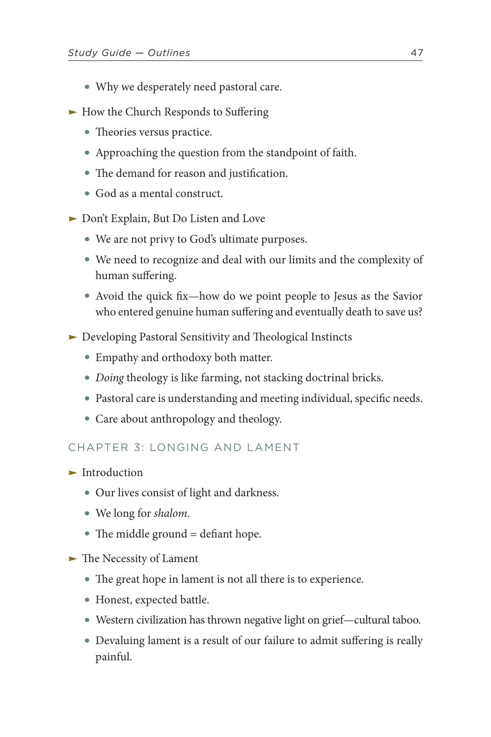- Why we desperately need pastoral care.
- ► How the Church Responds to Suffering
	- Theories versus practice.
	- Approaching the question from the standpoint of faith.
	- The demand for reason and justification.
	- God as a mental construct.
- ► Don't Explain, But Do Listen and Love
	- We are not privy to God's ultimate purposes.
	- We need to recognize and deal with our limits and the complexity of human suffering.
	- Avoid the quick fix—how do we point people to Jesus as the Savior who entered genuine human suffering and eventually death to save us?
- ► Developing Pastoral Sensitivity and Theological Instincts
	- Empathy and orthodoxy both matter.
	- *Doing* theology is like farming, not stacking doctrinal bricks.
	- Pastoral care is understanding and meeting individual, specific needs.
	- Care about anthropology and theology.

### CHAPTER 3: LONGING AND LAMENT

- $\blacktriangleright$  Introduction
	- Our lives consist of light and darkness.
	- We long for *shalom*.
	- The middle ground = defiant hope.
- ► The Necessity of Lament
	- The great hope in lament is not all there is to experience.
	- Honest, expected battle.
	- Western civilization has thrown negative light on grief—cultural taboo.
	- Devaluing lament is a result of our failure to admit suffering is really painful.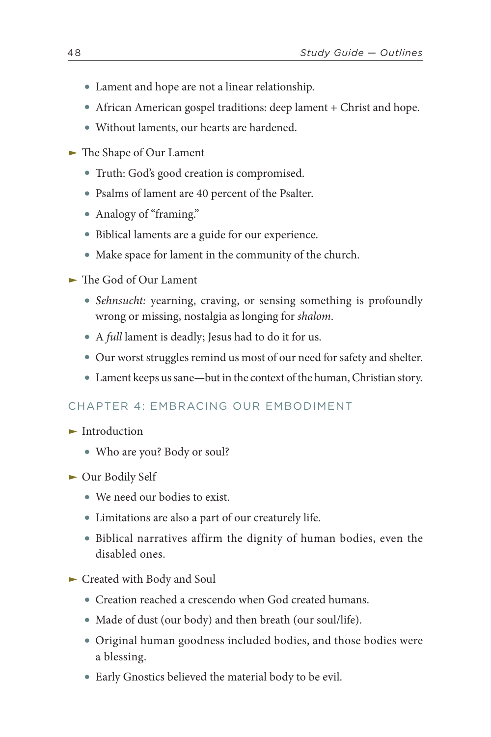- Lament and hope are not a linear relationship.
- African American gospel traditions: deep lament + Christ and hope.
- Without laments, our hearts are hardened.
- ► The Shape of Our Lament
	- Truth: God's good creation is compromised.
	- Psalms of lament are 40 percent of the Psalter.
	- Analogy of "framing."
	- Biblical laments are a guide for our experience.
	- Make space for lament in the community of the church.
- $\blacktriangleright$  The God of Our Lament
	- *Sehnsucht:* yearning, craving, or sensing something is profoundly wrong or missing, nostalgia as longing for *shalom*.
	- A *full* lament is deadly; Jesus had to do it for us.
	- Our worst struggles remind us most of our need for safety and shelter.
	- Lament keeps us sane—but in the context of the human, Christian story.

### CHAPTER 4: EMBRACING OUR EMBODIMENT

- $\blacktriangleright$  Introduction
	- Who are you? Body or soul?
- ► Our Bodily Self
	- We need our bodies to exist.
	- Limitations are also a part of our creaturely life.
	- Biblical narratives affirm the dignity of human bodies, even the disabled ones.
- ► Created with Body and Soul
	- Creation reached a crescendo when God created humans.
	- Made of dust (our body) and then breath (our soul/life).
	- Original human goodness included bodies, and those bodies were a blessing.
	- Early Gnostics believed the material body to be evil.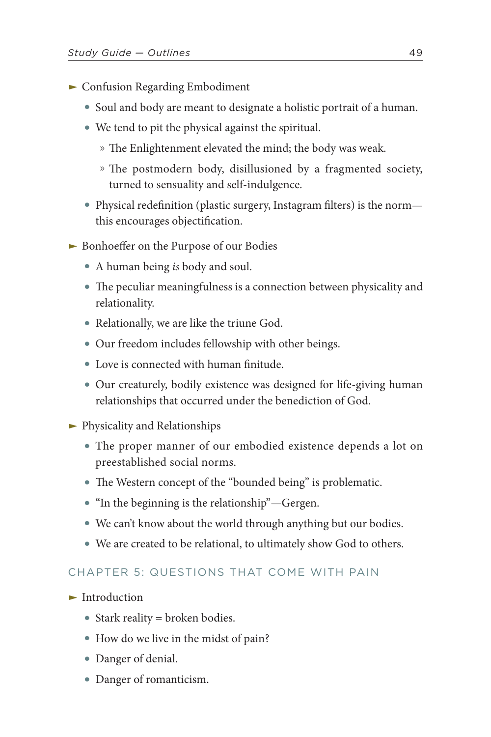- **EXECUTE:** Confusion Regarding Embodiment
	- Soul and body are meant to designate a holistic portrait of a human.
	- We tend to pit the physical against the spiritual.
		- » The Enlightenment elevated the mind; the body was weak.
		- » The postmodern body, disillusioned by a fragmented society, turned to sensuality and self-indulgence.
	- Physical redefinition (plastic surgery, Instagram filters) is the norm this encourages objectification.
- ► Bonhoeffer on the Purpose of our Bodies
	- A human being *is* body and soul.
	- The peculiar meaningfulness is a connection between physicality and relationality.
	- Relationally, we are like the triune God.
	- Our freedom includes fellowship with other beings.
	- Love is connected with human finitude.
	- Our creaturely, bodily existence was designed for life-giving human relationships that occurred under the benediction of God.
- **Physicality and Relationships** 
	- The proper manner of our embodied existence depends a lot on preestablished social norms.
	- The Western concept of the "bounded being" is problematic.
	- "In the beginning is the relationship"—Gergen.
	- We can't know about the world through anything but our bodies.
	- We are created to be relational, to ultimately show God to others.

### CHAPTER 5: QUESTIONS THAT COME WITH PAIN

- $\blacktriangleright$  Introduction
	- Stark reality = broken bodies.
	- How do we live in the midst of pain?
	- Danger of denial.
	- Danger of romanticism.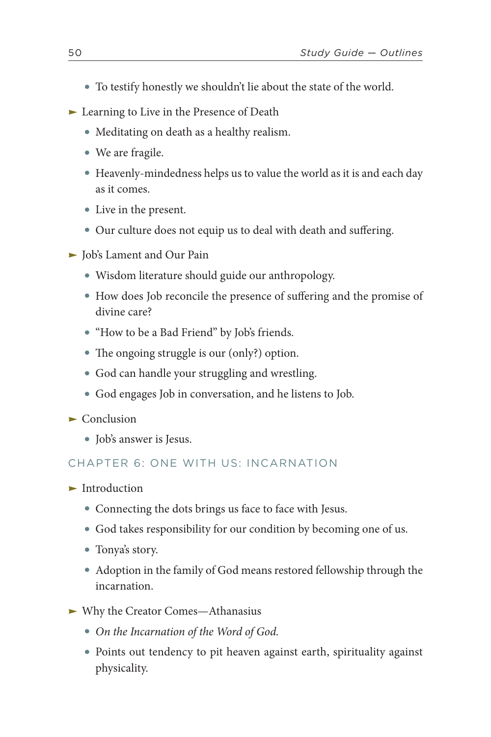- To testify honestly we shouldn't lie about the state of the world.
- ► Learning to Live in the Presence of Death
	- Meditating on death as a healthy realism.
	- We are fragile.
	- Heavenly-mindedness helps us to value the world as it is and each day as it comes.
	- Live in the present.
	- Our culture does not equip us to deal with death and suffering.
- ► Job's Lament and Our Pain
	- Wisdom literature should guide our anthropology.
	- How does Job reconcile the presence of suffering and the promise of divine care?
	- "How to be a Bad Friend" by Job's friends.
	- The ongoing struggle is our (only?) option.
	- God can handle your struggling and wrestling.
	- God engages Job in conversation, and he listens to Job.
- $\blacktriangleright$  Conclusion
	- Job's answer is Jesus.

### CHAPTER 6: ONE WITH US: INCARNATION

- $\blacktriangleright$  Introduction
	- Connecting the dots brings us face to face with Jesus.
	- God takes responsibility for our condition by becoming one of us.
	- Tonya's story.
	- Adoption in the family of God means restored fellowship through the incarnation.
- ► Why the Creator Comes—Athanasius
	- *On the Incarnation of the Word of God.*
	- Points out tendency to pit heaven against earth, spirituality against physicality.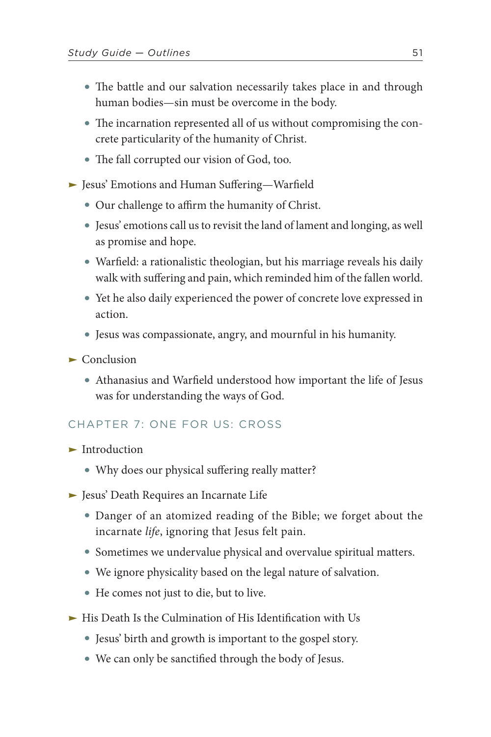- The battle and our salvation necessarily takes place in and through human bodies—sin must be overcome in the body.
- The incarnation represented all of us without compromising the concrete particularity of the humanity of Christ.
- The fall corrupted our vision of God, too.

► Jesus' Emotions and Human Suffering—Warfield

- Our challenge to affirm the humanity of Christ.
- Jesus' emotions call us to revisit the land of lament and longing, as well as promise and hope.
- Warfield: a rationalistic theologian, but his marriage reveals his daily walk with suffering and pain, which reminded him of the fallen world.
- Yet he also daily experienced the power of concrete love expressed in action.
- Jesus was compassionate, angry, and mournful in his humanity.
- $\blacktriangleright$  Conclusion
	- Athanasius and Warfield understood how important the life of Jesus was for understanding the ways of God.

### CHAPTER 7: ONE FOR US: CROSS

- $\blacktriangleright$  Introduction
	- Why does our physical suffering really matter?
- **Figure 1** Jesus' Death Requires an Incarnate Life
	- Danger of an atomized reading of the Bible; we forget about the incarnate *life*, ignoring that Jesus felt pain.
	- Sometimes we undervalue physical and overvalue spiritual matters.
	- We ignore physicality based on the legal nature of salvation.
	- He comes not just to die, but to live.
- **Fig. 2** His Death Is the Culmination of His Identification with Us
	- Jesus' birth and growth is important to the gospel story.
	- We can only be sanctified through the body of Jesus.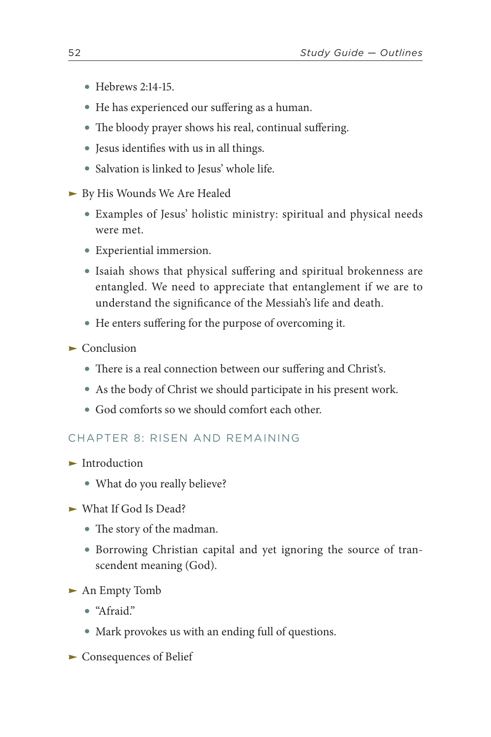- [Hebrews 2:14-15](https://www.biblegateway.com/passage/?search=Hebrews+2%3A14-15&version=ESV).
- He has experienced our suffering as a human.
- The bloody prayer shows his real, continual suffering.
- Jesus identifies with us in all things.
- Salvation is linked to Jesus' whole life.
- ► By His Wounds We Are Healed
	- Examples of Jesus' holistic ministry: spiritual and physical needs were met.
	- Experiential immersion.
	- Isaiah shows that physical suffering and spiritual brokenness are entangled. We need to appreciate that entanglement if we are to understand the significance of the Messiah's life and death.
	- He enters suffering for the purpose of overcoming it.
- $\blacktriangleright$  Conclusion
	- There is a real connection between our suffering and Christ's.
	- As the body of Christ we should participate in his present work.
	- God comforts so we should comfort each other.

### CHAPTER 8: RISEN AND REMAINING

- $\blacktriangleright$  Introduction
	- What do you really believe?
- $\blacktriangleright$  What If God Is Dead?
	- The story of the madman.
	- Borrowing Christian capital and yet ignoring the source of transcendent meaning (God).
- ► An Empty Tomb
	- "Afraid."
	- Mark provokes us with an ending full of questions.
- ► Consequences of Belief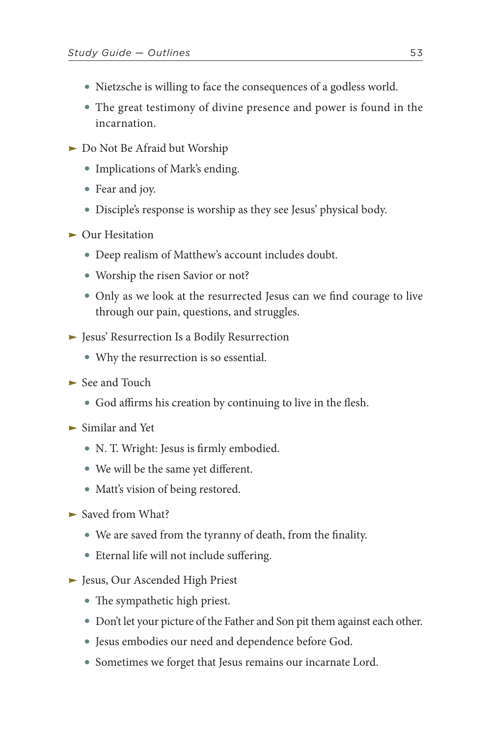- Nietzsche is willing to face the consequences of a godless world.
- The great testimony of divine presence and power is found in the incarnation.
- ► Do Not Be Afraid but Worship
	- Implications of Mark's ending.
	- Fear and joy.
	- Disciple's response is worship as they see Jesus' physical body.
- $\blacktriangleright$  Our Hesitation
	- Deep realism of Matthew's account includes doubt.
	- Worship the risen Savior or not?
	- Only as we look at the resurrected Jesus can we find courage to live through our pain, questions, and struggles.
- ► Jesus' Resurrection Is a Bodily Resurrection
	- Why the resurrection is so essential.
- $\blacktriangleright$  See and Touch
	- God affirms his creation by continuing to live in the flesh.
- $\blacktriangleright$  Similar and Yet
	- N. T. Wright: Jesus is firmly embodied.
	- We will be the same yet different.
	- Matt's vision of being restored.
- ► Saved from What?
	- We are saved from the tyranny of death, from the finality.
	- Eternal life will not include suffering.
- ► Jesus, Our Ascended High Priest
	- The sympathetic high priest.
	- Don't let your picture of the Father and Son pit them against each other.
	- Jesus embodies our need and dependence before God.
	- Sometimes we forget that Jesus remains our incarnate Lord.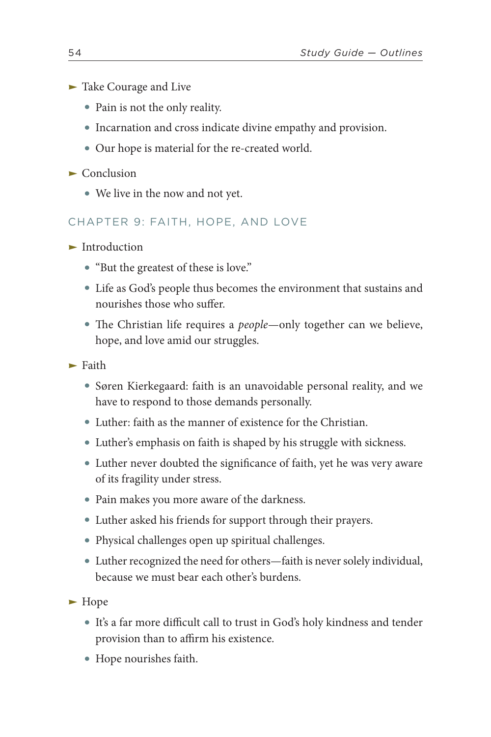- ► Take Courage and Live
	- Pain is not the only reality.
	- Incarnation and cross indicate divine empathy and provision.
	- Our hope is material for the re-created world.
- $\blacktriangleright$  Conclusion
	- We live in the now and not yet.

### CHAPTER 9: FAITH, HOPE, AND LOVE

- $\blacktriangleright$  Introduction
	- "But the greatest of these is love."
	- Life as God's people thus becomes the environment that sustains and nourishes those who suffer.
	- The Christian life requires a *people*—only together can we believe, hope, and love amid our struggles.
- $\blacktriangleright$  Faith
	- Søren Kierkegaard: faith is an unavoidable personal reality, and we have to respond to those demands personally.
	- Luther: faith as the manner of existence for the Christian.
	- Luther's emphasis on faith is shaped by his struggle with sickness.
	- Luther never doubted the significance of faith, yet he was very aware of its fragility under stress.
	- Pain makes you more aware of the darkness.
	- Luther asked his friends for support through their prayers.
	- Physical challenges open up spiritual challenges.
	- Luther recognized the need for others—faith is never solely individual, because we must bear each other's burdens.

 $\blacktriangleright$  Hope

- It's a far more difficult call to trust in God's holy kindness and tender provision than to affirm his existence.
- Hope nourishes faith.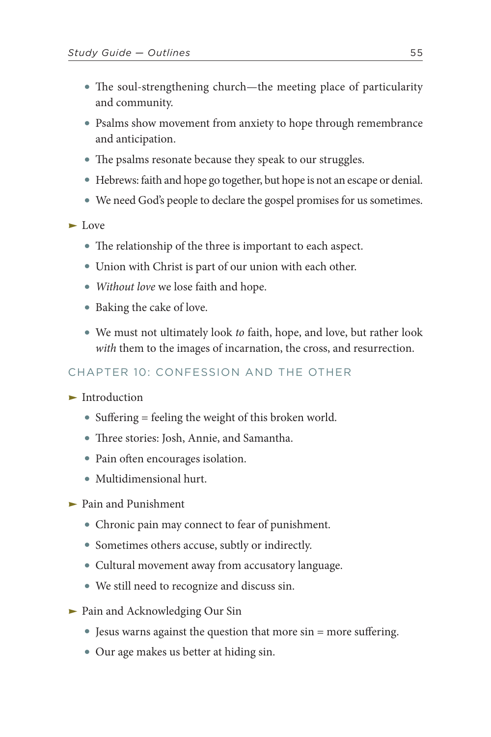- The soul-strengthening church—the meeting place of particularity and community.
- Psalms show movement from anxiety to hope through remembrance and anticipation.
- The psalms resonate because they speak to our struggles.
- Hebrews: faith and hope go together, but hope is not an escape or denial.
- We need God's people to declare the gospel promises for us sometimes.

► Love

- The relationship of the three is important to each aspect.
- Union with Christ is part of our union with each other.
- *Without love* we lose faith and hope.
- Baking the cake of love.
- We must not ultimately look *to* faith, hope, and love, but rather look *with* them to the images of incarnation, the cross, and resurrection.

### CHAPTER 10: CONFESSION AND THE OTHER

- $\blacktriangleright$  Introduction
	- Suffering = feeling the weight of this broken world.
	- Three stories: Josh, Annie, and Samantha.
	- Pain often encourages isolation.
	- Multidimensional hurt.
- ► Pain and Punishment
	- Chronic pain may connect to fear of punishment.
	- Sometimes others accuse, subtly or indirectly.
	- Cultural movement away from accusatory language.
	- We still need to recognize and discuss sin.
- ► Pain and Acknowledging Our Sin
	- Jesus warns against the question that more sin = more suffering.
	- Our age makes us better at hiding sin.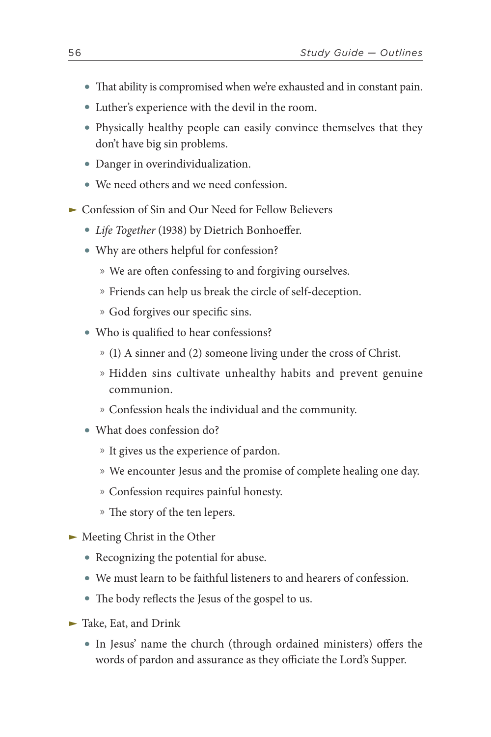- That ability is compromised when we're exhausted and in constant pain.
- Luther's experience with the devil in the room.
- Physically healthy people can easily convince themselves that they don't have big sin problems.
- Danger in overindividualization.
- We need others and we need confession.
- ► Confession of Sin and Our Need for Fellow Believers
	- *Life Together* (1938) by Dietrich Bonhoeffer.
	- Why are others helpful for confession?
		- » We are often confessing to and forgiving ourselves.
		- » Friends can help us break the circle of self-deception.
		- » God forgives our specific sins.
	- Who is qualified to hear confessions?
		- » (1) A sinner and (2) someone living under the cross of Christ.
		- » Hidden sins cultivate unhealthy habits and prevent genuine communion.
		- » Confession heals the individual and the community.
	- What does confession do?
		- » It gives us the experience of pardon.
		- » We encounter Jesus and the promise of complete healing one day.
		- » Confession requires painful honesty.
		- » The story of the ten lepers.
- ► Meeting Christ in the Other
	- Recognizing the potential for abuse.
	- We must learn to be faithful listeners to and hearers of confession.
	- The body reflects the Jesus of the gospel to us.
- ► Take, Eat, and Drink
	- In Jesus' name the church (through ordained ministers) offers the words of pardon and assurance as they officiate the Lord's Supper.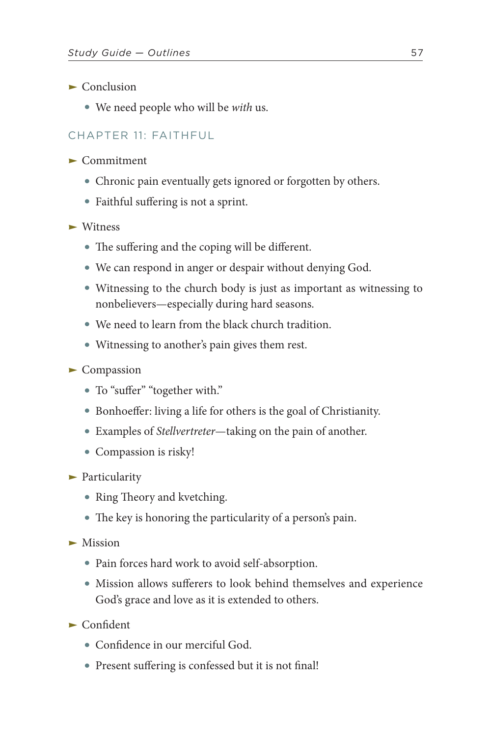- $\blacktriangleright$  Conclusion
	- We need people who will be *with* us.

### CHAPTER 11: FAITHFUL

- $\blacktriangleright$  Commitment
	- Chronic pain eventually gets ignored or forgotten by others.
	- Faithful suffering is not a sprint.
- $\blacktriangleright$  Witness
	- The suffering and the coping will be different.
	- We can respond in anger or despair without denying God.
	- Witnessing to the church body is just as important as witnessing to nonbelievers—especially during hard seasons.
	- We need to learn from the black church tradition.
	- Witnessing to another's pain gives them rest.

### $\blacktriangleright$  Compassion

- To "suffer" "together with."
- Bonhoeffer: living a life for others is the goal of Christianity.
- Examples of *Stellvertreter*—taking on the pain of another.
- Compassion is risky!
- $\blacktriangleright$  Particularity
	- Ring Theory and kvetching.
	- The key is honoring the particularity of a person's pain.
- $\blacktriangleright$  Mission
	- Pain forces hard work to avoid self-absorption.
	- Mission allows sufferers to look behind themselves and experience God's grace and love as it is extended to others.
- $\blacktriangleright$  Confident
	- Confidence in our merciful God.
	- Present suffering is confessed but it is not final!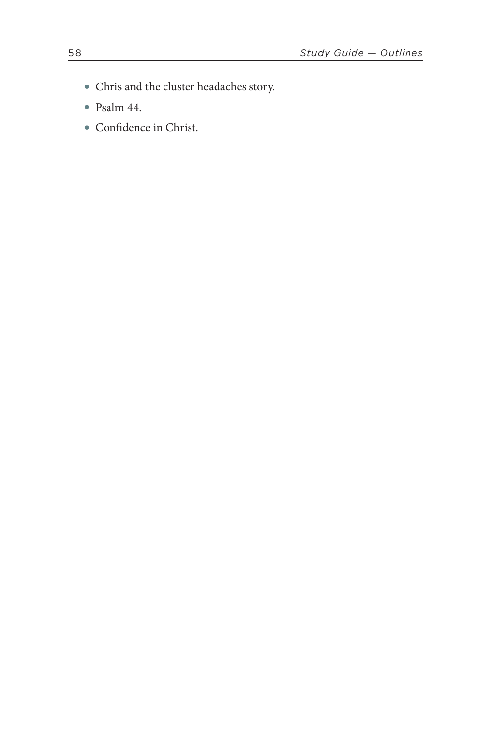- Chris and the cluster headaches story.
- [Psalm 44](https://www.biblegateway.com/passage/?search=Psalm+44&version=ESV).
- Confidence in Christ.